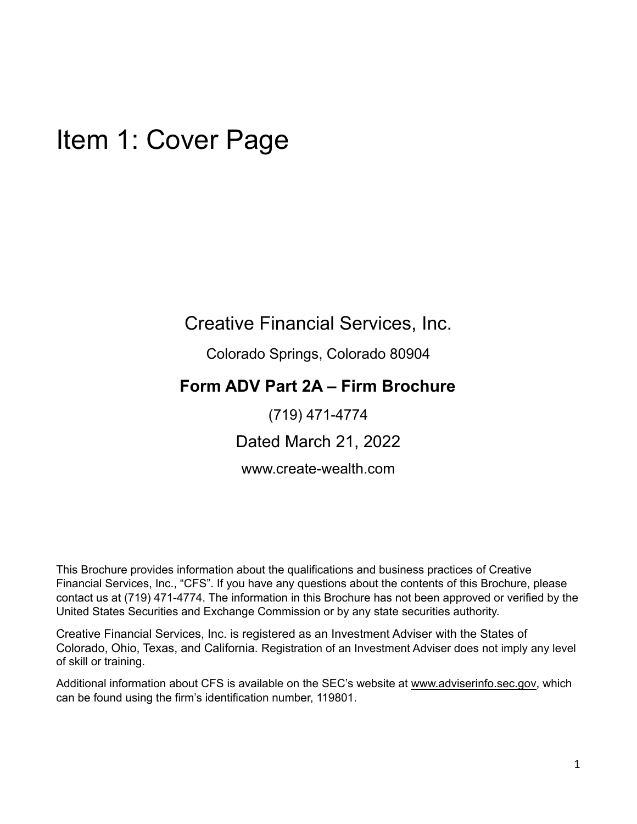## Item 1: Cover Page

### Creative Financial Services, Inc.

Colorado Springs, Colorado 80904

### **Form ADV Part 2A – Firm Brochure**

(719) 471-4774

Dated March 21, 2022

www.create-wealth.com

This Brochure provides information about the qualifications and business practices of Creative Financial Services, Inc., "CFS". If you have any questions about the contents of this Brochure, please contact us at (719) 471-4774. The information in this Brochure has not been approved or verified by the United States Securities and Exchange Commission or by any state securities authority.

Creative Financial Services, Inc. is registered as an Investment Adviser with the States of Colorado, Ohio, Texas, and California. Registration of an Investment Adviser does not imply any level of skill or training.

Additional information about CFS is available on the SEC's website at www.adviserinfo.sec.gov, which can be found using the firm's identification number, 119801.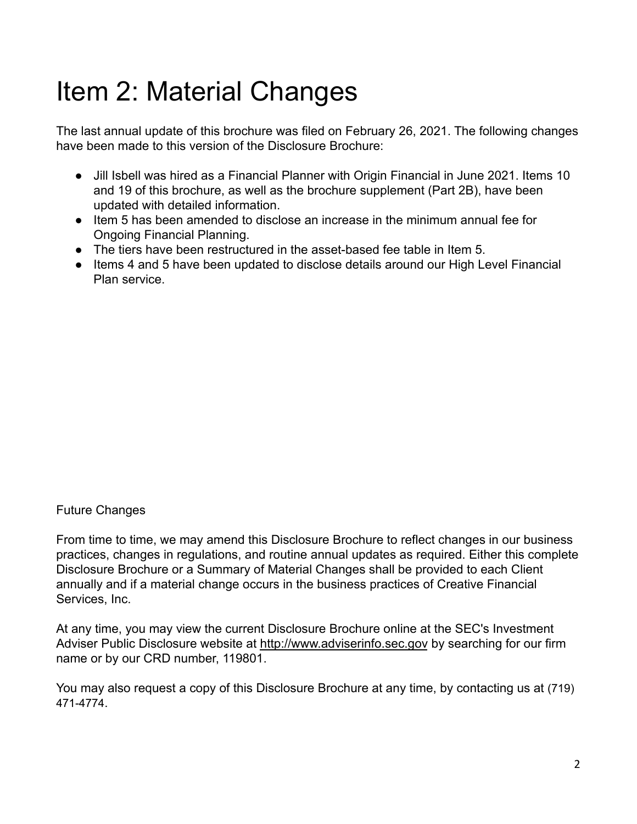# Item 2: Material Changes

The last annual update of this brochure was filed on February 26, 2021. The following changes have been made to this version of the Disclosure Brochure:

- Jill Isbell was hired as a Financial Planner with Origin Financial in June 2021. Items 10 and 19 of this brochure, as well as the brochure supplement (Part 2B), have been updated with detailed information.
- Item 5 has been amended to disclose an increase in the minimum annual fee for Ongoing Financial Planning.
- The tiers have been restructured in the asset-based fee table in Item 5.
- Items 4 and 5 have been updated to disclose details around our High Level Financial Plan service.

#### Future Changes

From time to time, we may amend this Disclosure Brochure to reflect changes in our business practices, changes in regulations, and routine annual updates as required. Either this complete Disclosure Brochure or a Summary of Material Changes shall be provided to each Client annually and if a material change occurs in the business practices of Creative Financial Services, Inc.

At any time, you may view the current Disclosure Brochure online at the SEC's Investment Adviser Public Disclosure website at http://www.adviserinfo.sec.gov by searching for our firm name or by our CRD number, 119801.

You may also request a copy of this Disclosure Brochure at any time, by contacting us at (719) 471-4774.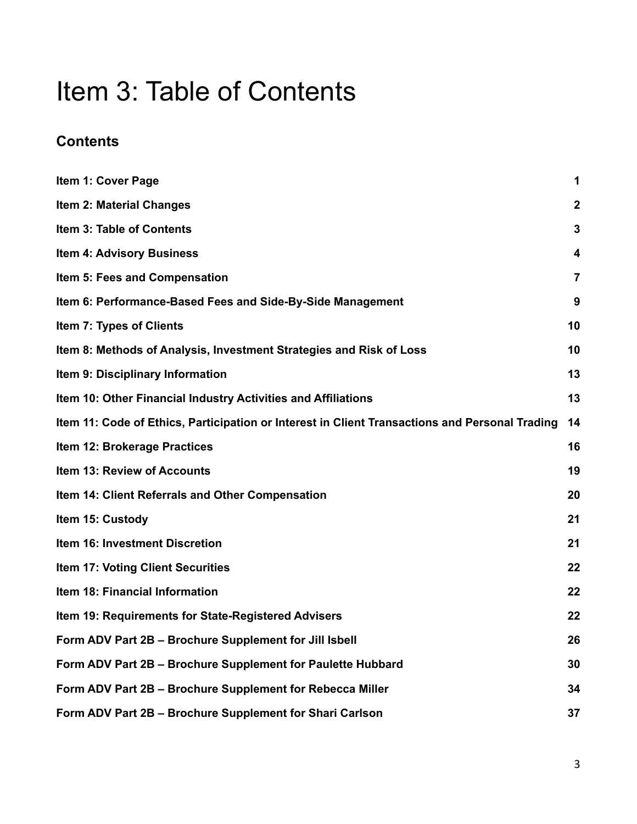## Item 3: Table of Contents

### **Contents**

| Item 1: Cover Page                                                                             | 1              |
|------------------------------------------------------------------------------------------------|----------------|
| <b>Item 2: Material Changes</b>                                                                | $\mathbf 2$    |
| <b>Item 3: Table of Contents</b>                                                               | 3              |
| <b>Item 4: Advisory Business</b>                                                               | 4              |
| Item 5: Fees and Compensation                                                                  | $\overline{7}$ |
| Item 6: Performance-Based Fees and Side-By-Side Management                                     | 9              |
| Item 7: Types of Clients                                                                       | 10             |
| Item 8: Methods of Analysis, Investment Strategies and Risk of Loss                            | 10             |
| Item 9: Disciplinary Information                                                               | 13             |
| Item 10: Other Financial Industry Activities and Affiliations                                  | 13             |
| Item 11: Code of Ethics, Participation or Interest in Client Transactions and Personal Trading | 14             |
| Item 12: Brokerage Practices                                                                   | 16             |
| Item 13: Review of Accounts                                                                    | 19             |
| Item 14: Client Referrals and Other Compensation                                               | 20             |
| Item 15: Custody                                                                               | 21             |
| Item 16: Investment Discretion                                                                 | 21             |
| Item 17: Voting Client Securities                                                              | 22             |
| Item 18: Financial Information                                                                 | 22             |
| Item 19: Requirements for State-Registered Advisers                                            | 22             |
| Form ADV Part 2B - Brochure Supplement for Jill Isbell                                         | 26             |
| Form ADV Part 2B - Brochure Supplement for Paulette Hubbard                                    | 30             |
| Form ADV Part 2B - Brochure Supplement for Rebecca Miller                                      | 34             |
| Form ADV Part 2B - Brochure Supplement for Shari Carlson                                       | 37             |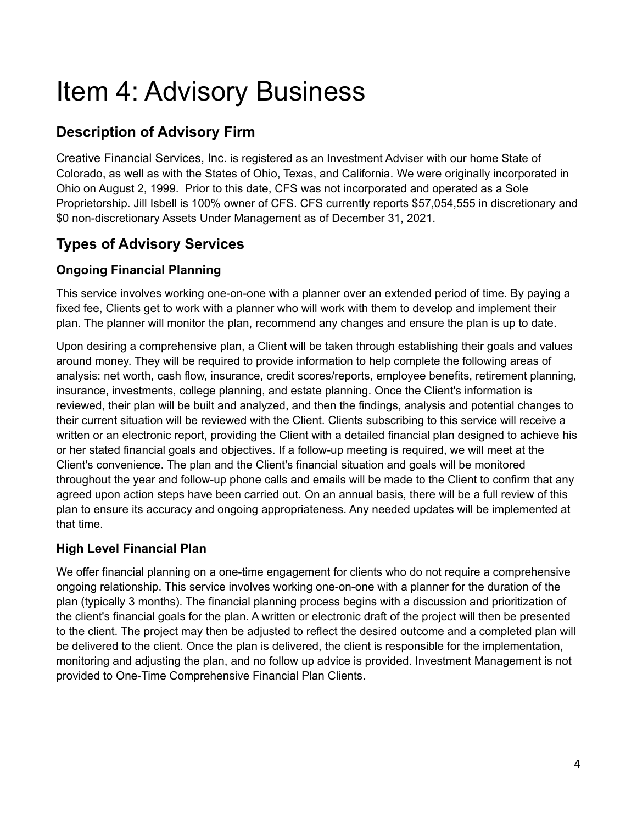# Item 4: Advisory Business

### **Description of Advisory Firm**

Creative Financial Services, Inc. is registered as an Investment Adviser with our home State of Colorado, as well as with the States of Ohio, Texas, and California. We were originally incorporated in Ohio on August 2, 1999. Prior to this date, CFS was not incorporated and operated as a Sole Proprietorship. Jill Isbell is 100% owner of CFS. CFS currently reports \$57,054,555 in discretionary and \$0 non-discretionary Assets Under Management as of December 31, 2021.

### **Types of Advisory Services**

#### **Ongoing Financial Planning**

This service involves working one-on-one with a planner over an extended period of time. By paying a fixed fee, Clients get to work with a planner who will work with them to develop and implement their plan. The planner will monitor the plan, recommend any changes and ensure the plan is up to date.

Upon desiring a comprehensive plan, a Client will be taken through establishing their goals and values around money. They will be required to provide information to help complete the following areas of analysis: net worth, cash flow, insurance, credit scores/reports, employee benefits, retirement planning, insurance, investments, college planning, and estate planning. Once the Client's information is reviewed, their plan will be built and analyzed, and then the findings, analysis and potential changes to their current situation will be reviewed with the Client. Clients subscribing to this service will receive a written or an electronic report, providing the Client with a detailed financial plan designed to achieve his or her stated financial goals and objectives. If a follow-up meeting is required, we will meet at the Client's convenience. The plan and the Client's financial situation and goals will be monitored throughout the year and follow-up phone calls and emails will be made to the Client to confirm that any agreed upon action steps have been carried out. On an annual basis, there will be a full review of this plan to ensure its accuracy and ongoing appropriateness. Any needed updates will be implemented at that time.

### **High Level Financial Plan**

We offer financial planning on a one-time engagement for clients who do not require a comprehensive ongoing relationship. This service involves working one-on-one with a planner for the duration of the plan (typically 3 months). The financial planning process begins with a discussion and prioritization of the client's financial goals for the plan. A written or electronic draft of the project will then be presented to the client. The project may then be adjusted to reflect the desired outcome and a completed plan will be delivered to the client. Once the plan is delivered, the client is responsible for the implementation, monitoring and adjusting the plan, and no follow up advice is provided. Investment Management is not provided to One-Time Comprehensive Financial Plan Clients.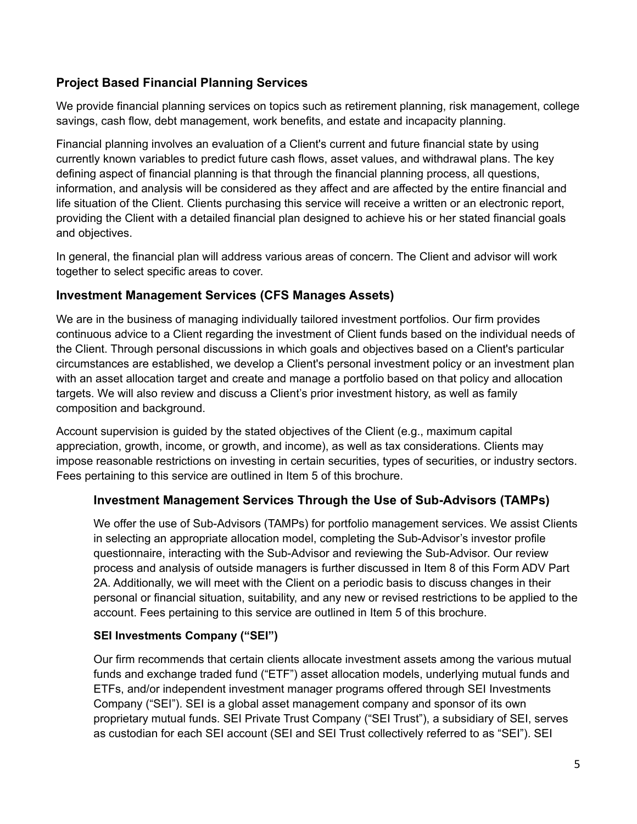#### **Project Based Financial Planning Services**

We provide financial planning services on topics such as retirement planning, risk management, college savings, cash flow, debt management, work benefits, and estate and incapacity planning.

Financial planning involves an evaluation of a Client's current and future financial state by using currently known variables to predict future cash flows, asset values, and withdrawal plans. The key defining aspect of financial planning is that through the financial planning process, all questions, information, and analysis will be considered as they affect and are affected by the entire financial and life situation of the Client. Clients purchasing this service will receive a written or an electronic report, providing the Client with a detailed financial plan designed to achieve his or her stated financial goals and objectives.

In general, the financial plan will address various areas of concern. The Client and advisor will work together to select specific areas to cover.

#### **Investment Management Services (CFS Manages Assets)**

We are in the business of managing individually tailored investment portfolios. Our firm provides continuous advice to a Client regarding the investment of Client funds based on the individual needs of the Client. Through personal discussions in which goals and objectives based on a Client's particular circumstances are established, we develop a Client's personal investment policy or an investment plan with an asset allocation target and create and manage a portfolio based on that policy and allocation targets. We will also review and discuss a Client's prior investment history, as well as family composition and background.

Account supervision is guided by the stated objectives of the Client (e.g., maximum capital appreciation, growth, income, or growth, and income), as well as tax considerations. Clients may impose reasonable restrictions on investing in certain securities, types of securities, or industry sectors. Fees pertaining to this service are outlined in Item 5 of this brochure.

#### **Investment Management Services Through the Use of Sub-Advisors (TAMPs)**

We offer the use of Sub-Advisors (TAMPs) for portfolio management services. We assist Clients in selecting an appropriate allocation model, completing the Sub-Advisor's investor profile questionnaire, interacting with the Sub-Advisor and reviewing the Sub-Advisor. Our review process and analysis of outside managers is further discussed in Item 8 of this Form ADV Part 2A. Additionally, we will meet with the Client on a periodic basis to discuss changes in their personal or financial situation, suitability, and any new or revised restrictions to be applied to the account. Fees pertaining to this service are outlined in Item 5 of this brochure.

#### **SEI Investments Company ("SEI")**

Our firm recommends that certain clients allocate investment assets among the various mutual funds and exchange traded fund ("ETF") asset allocation models, underlying mutual funds and ETFs, and/or independent investment manager programs offered through SEI Investments Company ("SEI"). SEI is a global asset management company and sponsor of its own proprietary mutual funds. SEI Private Trust Company ("SEI Trust"), a subsidiary of SEI, serves as custodian for each SEI account (SEI and SEI Trust collectively referred to as "SEI"). SEI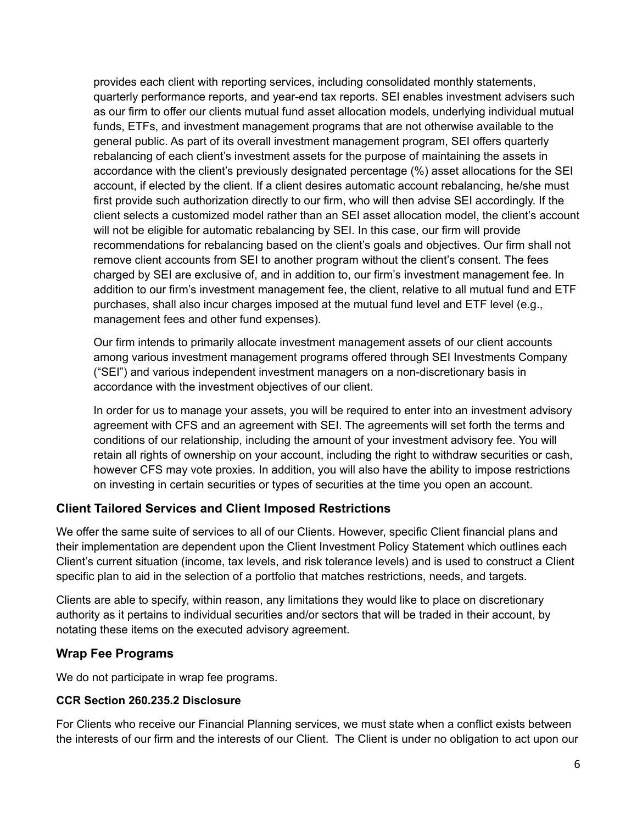provides each client with reporting services, including consolidated monthly statements, quarterly performance reports, and year-end tax reports. SEI enables investment advisers such as our firm to offer our clients mutual fund asset allocation models, underlying individual mutual funds, ETFs, and investment management programs that are not otherwise available to the general public. As part of its overall investment management program, SEI offers quarterly rebalancing of each client's investment assets for the purpose of maintaining the assets in accordance with the client's previously designated percentage (%) asset allocations for the SEI account, if elected by the client. If a client desires automatic account rebalancing, he/she must first provide such authorization directly to our firm, who will then advise SEI accordingly. If the client selects a customized model rather than an SEI asset allocation model, the client's account will not be eligible for automatic rebalancing by SEI. In this case, our firm will provide recommendations for rebalancing based on the client's goals and objectives. Our firm shall not remove client accounts from SEI to another program without the client's consent. The fees charged by SEI are exclusive of, and in addition to, our firm's investment management fee. In addition to our firm's investment management fee, the client, relative to all mutual fund and ETF purchases, shall also incur charges imposed at the mutual fund level and ETF level (e.g., management fees and other fund expenses).

Our firm intends to primarily allocate investment management assets of our client accounts among various investment management programs offered through SEI Investments Company ("SEI") and various independent investment managers on a non-discretionary basis in accordance with the investment objectives of our client.

In order for us to manage your assets, you will be required to enter into an investment advisory agreement with CFS and an agreement with SEI. The agreements will set forth the terms and conditions of our relationship, including the amount of your investment advisory fee. You will retain all rights of ownership on your account, including the right to withdraw securities or cash, however CFS may vote proxies. In addition, you will also have the ability to impose restrictions on investing in certain securities or types of securities at the time you open an account.

#### **Client Tailored Services and Client Imposed Restrictions**

We offer the same suite of services to all of our Clients. However, specific Client financial plans and their implementation are dependent upon the Client Investment Policy Statement which outlines each Client's current situation (income, tax levels, and risk tolerance levels) and is used to construct a Client specific plan to aid in the selection of a portfolio that matches restrictions, needs, and targets.

Clients are able to specify, within reason, any limitations they would like to place on discretionary authority as it pertains to individual securities and/or sectors that will be traded in their account, by notating these items on the executed advisory agreement.

#### **Wrap Fee Programs**

We do not participate in wrap fee programs.

#### **CCR Section 260.235.2 Disclosure**

For Clients who receive our Financial Planning services, we must state when a conflict exists between the interests of our firm and the interests of our Client. The Client is under no obligation to act upon our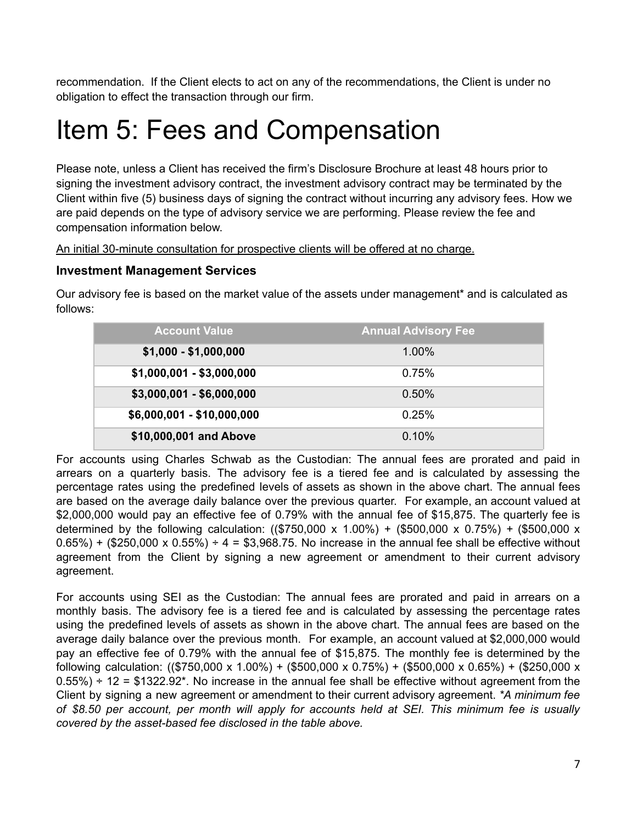recommendation. If the Client elects to act on any of the recommendations, the Client is under no obligation to effect the transaction through our firm.

## Item 5: Fees and Compensation

Please note, unless a Client has received the firm's Disclosure Brochure at least 48 hours prior to signing the investment advisory contract, the investment advisory contract may be terminated by the Client within five (5) business days of signing the contract without incurring any advisory fees. How we are paid depends on the type of advisory service we are performing. Please review the fee and compensation information below.

An initial 30-minute consultation for prospective clients will be offered at no charge.

#### **Investment Management Services**

Our advisory fee is based on the market value of the assets under management\* and is calculated as follows:

| <b>Account Value</b>       | <b>Annual Advisory Fee</b> |
|----------------------------|----------------------------|
| $$1,000 - $1,000,000$      | 1.00%                      |
| $$1,000,001 - $3,000,000$  | 0.75%                      |
| $$3,000,001 - $6,000,000$  | 0.50%                      |
| $$6,000,001 - $10,000,000$ | 0.25%                      |
| \$10,000,001 and Above     | 0.10%                      |

For accounts using Charles Schwab as the Custodian: The annual fees are prorated and paid in arrears on a quarterly basis. The advisory fee is a tiered fee and is calculated by assessing the percentage rates using the predefined levels of assets as shown in the above chart. The annual fees are based on the average daily balance over the previous quarter. For example, an account valued at \$2,000,000 would pay an effective fee of 0.79% with the annual fee of \$15,875. The quarterly fee is determined by the following calculation: ((\$750,000 x 1.00%) + (\$500,000 x 0.75%) + (\$500,000 x  $0.65\%$ ) + (\$250,000 x  $0.55\%$ ) ÷ 4 = \$3,968.75. No increase in the annual fee shall be effective without agreement from the Client by signing a new agreement or amendment to their current advisory agreement.

For accounts using SEI as the Custodian: The annual fees are prorated and paid in arrears on a monthly basis. The advisory fee is a tiered fee and is calculated by assessing the percentage rates using the predefined levels of assets as shown in the above chart. The annual fees are based on the average daily balance over the previous month. For example, an account valued at \$2,000,000 would pay an effective fee of 0.79% with the annual fee of \$15,875. The monthly fee is determined by the following calculation:  $((\$750,000 \times 1.00\%) + (\$500,000 \times 0.75\%) + (\$500,000 \times 0.65\%) + (\$250,000 \times$  $0.55\%$ ) ÷ 12 = \$1322.92\*. No increase in the annual fee shall be effective without agreement from the Client by signing a new agreement or amendment to their current advisory agreement. *\*A minimum fee of \$8.50 per account, per month will apply for accounts held at SEI. This minimum fee is usually covered by the asset-based fee disclosed in the table above.*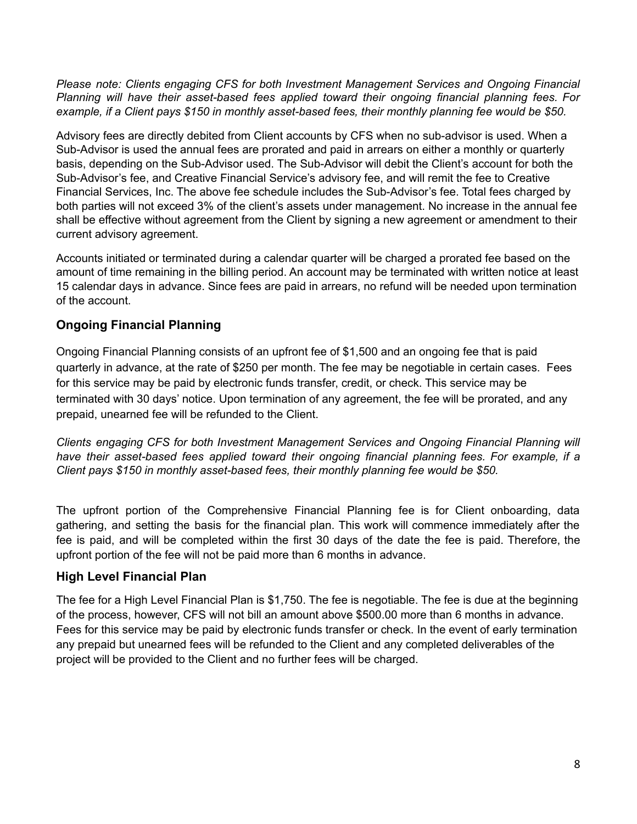*Please note: Clients engaging CFS for both Investment Management Services and Ongoing Financial Planning will have their asset-based fees applied toward their ongoing financial planning fees. For example, if a Client pays \$150 in monthly asset-based fees, their monthly planning fee would be \$50.*

Advisory fees are directly debited from Client accounts by CFS when no sub-advisor is used. When a Sub-Advisor is used the annual fees are prorated and paid in arrears on either a monthly or quarterly basis, depending on the Sub-Advisor used. The Sub-Advisor will debit the Client's account for both the Sub-Advisor's fee, and Creative Financial Service's advisory fee, and will remit the fee to Creative Financial Services, Inc. The above fee schedule includes the Sub-Advisor's fee. Total fees charged by both parties will not exceed 3% of the client's assets under management. No increase in the annual fee shall be effective without agreement from the Client by signing a new agreement or amendment to their current advisory agreement.

Accounts initiated or terminated during a calendar quarter will be charged a prorated fee based on the amount of time remaining in the billing period. An account may be terminated with written notice at least 15 calendar days in advance. Since fees are paid in arrears, no refund will be needed upon termination of the account.

#### **Ongoing Financial Planning**

Ongoing Financial Planning consists of an upfront fee of \$1,500 and an ongoing fee that is paid quarterly in advance, at the rate of \$250 per month. The fee may be negotiable in certain cases. Fees for this service may be paid by electronic funds transfer, credit, or check. This service may be terminated with 30 days' notice. Upon termination of any agreement, the fee will be prorated, and any prepaid, unearned fee will be refunded to the Client.

*Clients engaging CFS for both Investment Management Services and Ongoing Financial Planning will have their asset-based fees applied toward their ongoing financial planning fees. For example, if a Client pays \$150 in monthly asset-based fees, their monthly planning fee would be \$50.*

The upfront portion of the Comprehensive Financial Planning fee is for Client onboarding, data gathering, and setting the basis for the financial plan. This work will commence immediately after the fee is paid, and will be completed within the first 30 days of the date the fee is paid. Therefore, the upfront portion of the fee will not be paid more than 6 months in advance.

#### **High Level Financial Plan**

The fee for a High Level Financial Plan is \$1,750. The fee is negotiable. The fee is due at the beginning of the process, however, CFS will not bill an amount above \$500.00 more than 6 months in advance. Fees for this service may be paid by electronic funds transfer or check. In the event of early termination any prepaid but unearned fees will be refunded to the Client and any completed deliverables of the project will be provided to the Client and no further fees will be charged.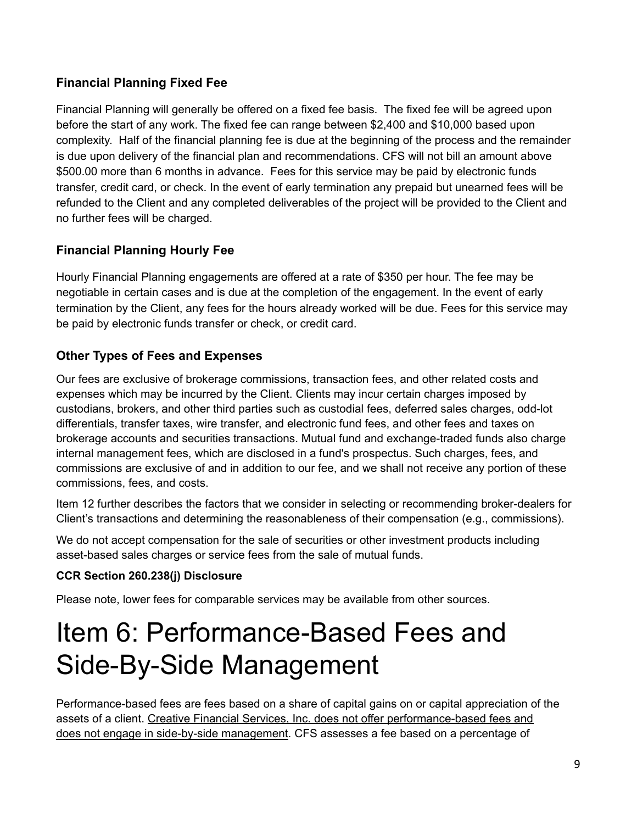#### **Financial Planning Fixed Fee**

Financial Planning will generally be offered on a fixed fee basis. The fixed fee will be agreed upon before the start of any work. The fixed fee can range between \$2,400 and \$10,000 based upon complexity. Half of the financial planning fee is due at the beginning of the process and the remainder is due upon delivery of the financial plan and recommendations. CFS will not bill an amount above \$500.00 more than 6 months in advance. Fees for this service may be paid by electronic funds transfer, credit card, or check. In the event of early termination any prepaid but unearned fees will be refunded to the Client and any completed deliverables of the project will be provided to the Client and no further fees will be charged.

#### **Financial Planning Hourly Fee**

Hourly Financial Planning engagements are offered at a rate of \$350 per hour. The fee may be negotiable in certain cases and is due at the completion of the engagement. In the event of early termination by the Client, any fees for the hours already worked will be due. Fees for this service may be paid by electronic funds transfer or check, or credit card.

#### **Other Types of Fees and Expenses**

Our fees are exclusive of brokerage commissions, transaction fees, and other related costs and expenses which may be incurred by the Client. Clients may incur certain charges imposed by custodians, brokers, and other third parties such as custodial fees, deferred sales charges, odd-lot differentials, transfer taxes, wire transfer, and electronic fund fees, and other fees and taxes on brokerage accounts and securities transactions. Mutual fund and exchange-traded funds also charge internal management fees, which are disclosed in a fund's prospectus. Such charges, fees, and commissions are exclusive of and in addition to our fee, and we shall not receive any portion of these commissions, fees, and costs.

Item 12 further describes the factors that we consider in selecting or recommending broker-dealers for Client's transactions and determining the reasonableness of their compensation (e.g., commissions).

We do not accept compensation for the sale of securities or other investment products including asset-based sales charges or service fees from the sale of mutual funds.

#### **CCR Section 260.238(j) Disclosure**

Please note, lower fees for comparable services may be available from other sources.

## Item 6: Performance-Based Fees and Side-By-Side Management

Performance-based fees are fees based on a share of capital gains on or capital appreciation of the assets of a client. Creative Financial Services, Inc. does not offer performance-based fees and does not engage in side-by-side management. CFS assesses a fee based on a percentage of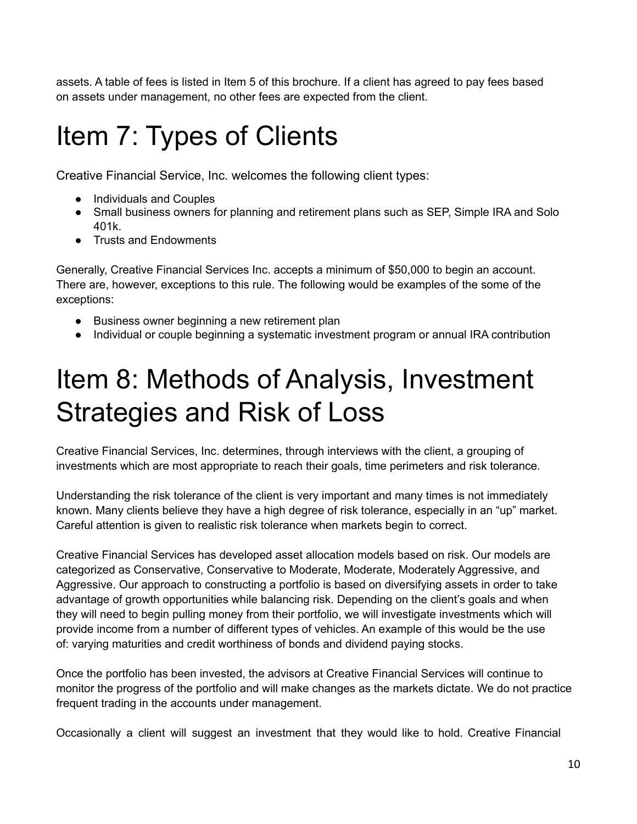assets. A table of fees is listed in Item 5 of this brochure. If a client has agreed to pay fees based on assets under management, no other fees are expected from the client.

## Item 7: Types of Clients

Creative Financial Service, Inc. welcomes the following client types:

- Individuals and Couples
- Small business owners for planning and retirement plans such as SEP, Simple IRA and Solo 401k.
- Trusts and Endowments

Generally, Creative Financial Services Inc. accepts a minimum of \$50,000 to begin an account. There are, however, exceptions to this rule. The following would be examples of the some of the exceptions:

- Business owner beginning a new retirement plan
- Individual or couple beginning a systematic investment program or annual IRA contribution

# Item 8: Methods of Analysis, Investment Strategies and Risk of Loss

Creative Financial Services, Inc. determines, through interviews with the client, a grouping of investments which are most appropriate to reach their goals, time perimeters and risk tolerance.

Understanding the risk tolerance of the client is very important and many times is not immediately known. Many clients believe they have a high degree of risk tolerance, especially in an "up" market. Careful attention is given to realistic risk tolerance when markets begin to correct.

Creative Financial Services has developed asset allocation models based on risk. Our models are categorized as Conservative, Conservative to Moderate, Moderate, Moderately Aggressive, and Aggressive. Our approach to constructing a portfolio is based on diversifying assets in order to take advantage of growth opportunities while balancing risk. Depending on the client's goals and when they will need to begin pulling money from their portfolio, we will investigate investments which will provide income from a number of different types of vehicles. An example of this would be the use of: varying maturities and credit worthiness of bonds and dividend paying stocks.

Once the portfolio has been invested, the advisors at Creative Financial Services will continue to monitor the progress of the portfolio and will make changes as the markets dictate. We do not practice frequent trading in the accounts under management.

Occasionally a client will suggest an investment that they would like to hold. Creative Financial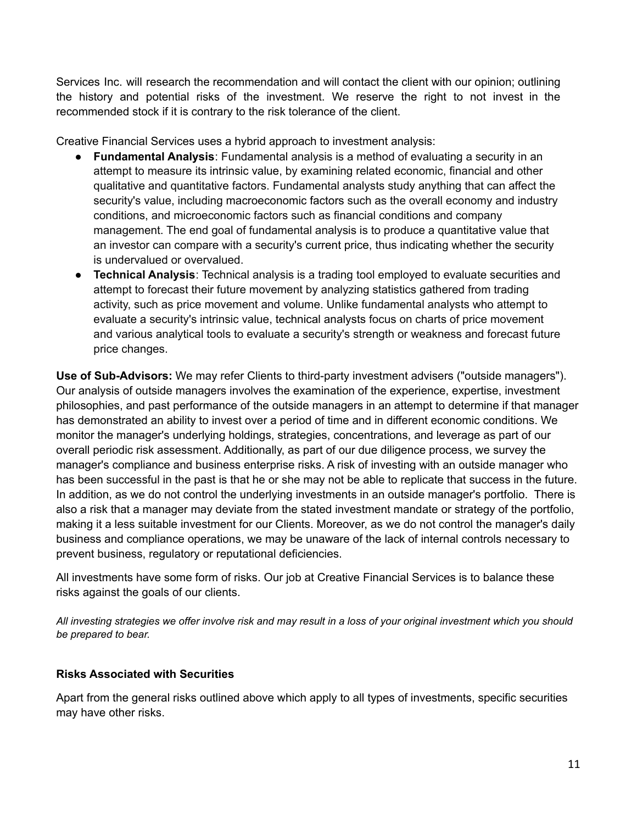Services Inc. will research the recommendation and will contact the client with our opinion; outlining the history and potential risks of the investment. We reserve the right to not invest in the recommended stock if it is contrary to the risk tolerance of the client.

Creative Financial Services uses a hybrid approach to investment analysis:

- **Fundamental Analysis**: Fundamental analysis is a method of evaluating a security in an attempt to measure its intrinsic value, by examining related economic, financial and other qualitative and quantitative factors. Fundamental analysts study anything that can affect the security's value, including macroeconomic factors such as the overall economy and industry conditions, and microeconomic factors such as financial conditions and company management. The end goal of fundamental analysis is to produce a quantitative value that an investor can compare with a security's current price, thus indicating whether the security is undervalued or overvalued.
- **Technical Analysis**: Technical analysis is a trading tool employed to evaluate securities and attempt to forecast their future movement by analyzing statistics gathered from trading activity, such as price movement and volume. Unlike fundamental analysts who attempt to evaluate a security's intrinsic value, technical analysts focus on charts of price movement and various analytical tools to evaluate a security's strength or weakness and forecast future price changes.

**Use of Sub-Advisors:** We may refer Clients to third-party investment advisers ("outside managers"). Our analysis of outside managers involves the examination of the experience, expertise, investment philosophies, and past performance of the outside managers in an attempt to determine if that manager has demonstrated an ability to invest over a period of time and in different economic conditions. We monitor the manager's underlying holdings, strategies, concentrations, and leverage as part of our overall periodic risk assessment. Additionally, as part of our due diligence process, we survey the manager's compliance and business enterprise risks. A risk of investing with an outside manager who has been successful in the past is that he or she may not be able to replicate that success in the future. In addition, as we do not control the underlying investments in an outside manager's portfolio. There is also a risk that a manager may deviate from the stated investment mandate or strategy of the portfolio, making it a less suitable investment for our Clients. Moreover, as we do not control the manager's daily business and compliance operations, we may be unaware of the lack of internal controls necessary to prevent business, regulatory or reputational deficiencies.

All investments have some form of risks. Our job at Creative Financial Services is to balance these risks against the goals of our clients.

All investing strategies we offer involve risk and may result in a loss of your original investment which you should *be prepared to bear.*

#### **Risks Associated with Securities**

Apart from the general risks outlined above which apply to all types of investments, specific securities may have other risks.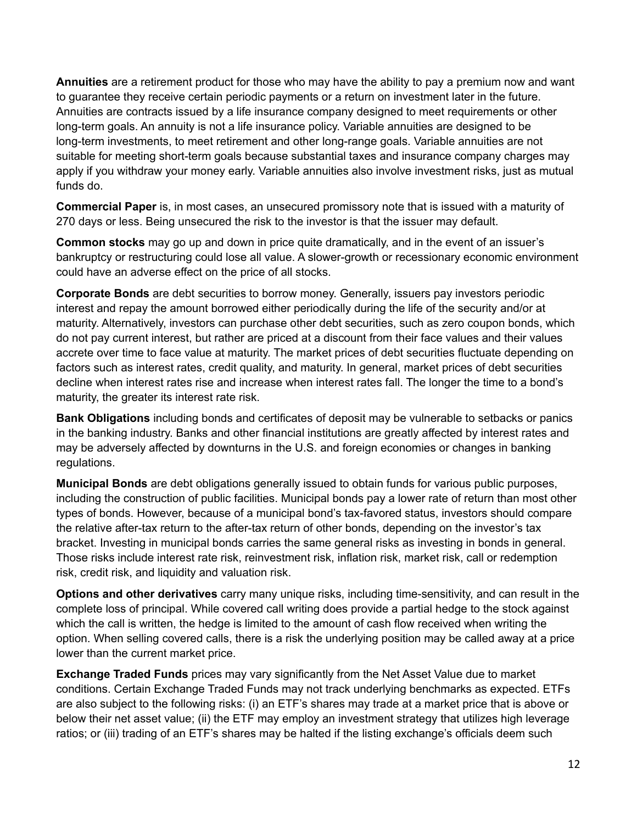**Annuities** are a retirement product for those who may have the ability to pay a premium now and want to guarantee they receive certain periodic payments or a return on investment later in the future. Annuities are contracts issued by a life insurance company designed to meet requirements or other long-term goals. An annuity is not a life insurance policy. Variable annuities are designed to be long-term investments, to meet retirement and other long-range goals. Variable annuities are not suitable for meeting short-term goals because substantial taxes and insurance company charges may apply if you withdraw your money early. Variable annuities also involve investment risks, just as mutual funds do.

**Commercial Paper** is, in most cases, an unsecured promissory note that is issued with a maturity of 270 days or less. Being unsecured the risk to the investor is that the issuer may default.

**Common stocks** may go up and down in price quite dramatically, and in the event of an issuer's bankruptcy or restructuring could lose all value. A slower-growth or recessionary economic environment could have an adverse effect on the price of all stocks.

**Corporate Bonds** are debt securities to borrow money. Generally, issuers pay investors periodic interest and repay the amount borrowed either periodically during the life of the security and/or at maturity. Alternatively, investors can purchase other debt securities, such as zero coupon bonds, which do not pay current interest, but rather are priced at a discount from their face values and their values accrete over time to face value at maturity. The market prices of debt securities fluctuate depending on factors such as interest rates, credit quality, and maturity. In general, market prices of debt securities decline when interest rates rise and increase when interest rates fall. The longer the time to a bond's maturity, the greater its interest rate risk.

**Bank Obligations** including bonds and certificates of deposit may be vulnerable to setbacks or panics in the banking industry. Banks and other financial institutions are greatly affected by interest rates and may be adversely affected by downturns in the U.S. and foreign economies or changes in banking regulations.

**Municipal Bonds** are debt obligations generally issued to obtain funds for various public purposes, including the construction of public facilities. Municipal bonds pay a lower rate of return than most other types of bonds. However, because of a municipal bond's tax-favored status, investors should compare the relative after-tax return to the after-tax return of other bonds, depending on the investor's tax bracket. Investing in municipal bonds carries the same general risks as investing in bonds in general. Those risks include interest rate risk, reinvestment risk, inflation risk, market risk, call or redemption risk, credit risk, and liquidity and valuation risk.

**Options and other derivatives** carry many unique risks, including time-sensitivity, and can result in the complete loss of principal. While covered call writing does provide a partial hedge to the stock against which the call is written, the hedge is limited to the amount of cash flow received when writing the option. When selling covered calls, there is a risk the underlying position may be called away at a price lower than the current market price.

**Exchange Traded Funds** prices may vary significantly from the Net Asset Value due to market conditions. Certain Exchange Traded Funds may not track underlying benchmarks as expected. ETFs are also subject to the following risks: (i) an ETF's shares may trade at a market price that is above or below their net asset value; (ii) the ETF may employ an investment strategy that utilizes high leverage ratios; or (iii) trading of an ETF's shares may be halted if the listing exchange's officials deem such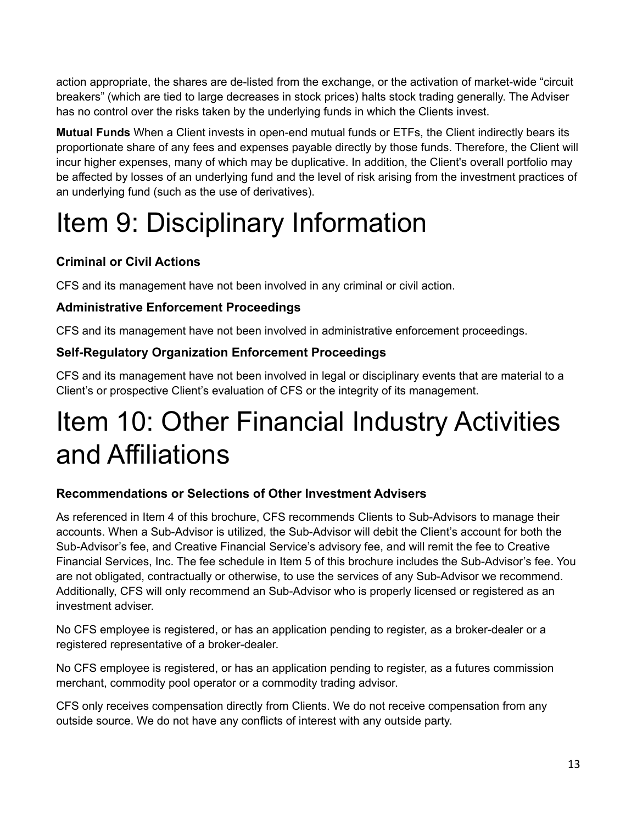action appropriate, the shares are de-listed from the exchange, or the activation of market-wide "circuit breakers" (which are tied to large decreases in stock prices) halts stock trading generally. The Adviser has no control over the risks taken by the underlying funds in which the Clients invest.

**Mutual Funds** When a Client invests in open-end mutual funds or ETFs, the Client indirectly bears its proportionate share of any fees and expenses payable directly by those funds. Therefore, the Client will incur higher expenses, many of which may be duplicative. In addition, the Client's overall portfolio may be affected by losses of an underlying fund and the level of risk arising from the investment practices of an underlying fund (such as the use of derivatives).

# Item 9: Disciplinary Information

#### **Criminal or Civil Actions**

CFS and its management have not been involved in any criminal or civil action.

#### **Administrative Enforcement Proceedings**

CFS and its management have not been involved in administrative enforcement proceedings.

#### **Self-Regulatory Organization Enforcement Proceedings**

CFS and its management have not been involved in legal or disciplinary events that are material to a Client's or prospective Client's evaluation of CFS or the integrity of its management.

## Item 10: Other Financial Industry Activities and Affiliations

#### **Recommendations or Selections of Other Investment Advisers**

As referenced in Item 4 of this brochure, CFS recommends Clients to Sub-Advisors to manage their accounts. When a Sub-Advisor is utilized, the Sub-Advisor will debit the Client's account for both the Sub-Advisor's fee, and Creative Financial Service's advisory fee, and will remit the fee to Creative Financial Services, Inc. The fee schedule in Item 5 of this brochure includes the Sub-Advisor's fee. You are not obligated, contractually or otherwise, to use the services of any Sub-Advisor we recommend. Additionally, CFS will only recommend an Sub-Advisor who is properly licensed or registered as an investment adviser.

No CFS employee is registered, or has an application pending to register, as a broker-dealer or a registered representative of a broker-dealer.

No CFS employee is registered, or has an application pending to register, as a futures commission merchant, commodity pool operator or a commodity trading advisor.

CFS only receives compensation directly from Clients. We do not receive compensation from any outside source. We do not have any conflicts of interest with any outside party.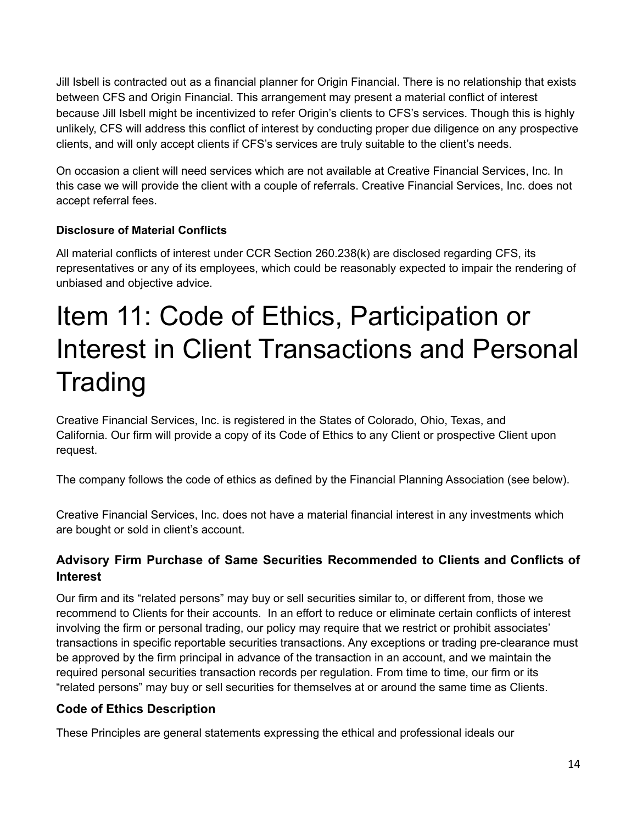Jill Isbell is contracted out as a financial planner for Origin Financial. There is no relationship that exists between CFS and Origin Financial. This arrangement may present a material conflict of interest because Jill Isbell might be incentivized to refer Origin's clients to CFS's services. Though this is highly unlikely, CFS will address this conflict of interest by conducting proper due diligence on any prospective clients, and will only accept clients if CFS's services are truly suitable to the client's needs.

On occasion a client will need services which are not available at Creative Financial Services, Inc. In this case we will provide the client with a couple of referrals. Creative Financial Services, Inc. does not accept referral fees.

#### **Disclosure of Material Conflicts**

All material conflicts of interest under CCR Section 260.238(k) are disclosed regarding CFS, its representatives or any of its employees, which could be reasonably expected to impair the rendering of unbiased and objective advice.

## Item 11: Code of Ethics, Participation or Interest in Client Transactions and Personal Trading

Creative Financial Services, Inc. is registered in the States of Colorado, Ohio, Texas, and California. Our firm will provide a copy of its Code of Ethics to any Client or prospective Client upon request.

The company follows the code of ethics as defined by the Financial Planning Association (see below).

Creative Financial Services, Inc. does not have a material financial interest in any investments which are bought or sold in client's account.

#### **Advisory Firm Purchase of Same Securities Recommended to Clients and Conflicts of Interest**

Our firm and its "related persons" may buy or sell securities similar to, or different from, those we recommend to Clients for their accounts. In an effort to reduce or eliminate certain conflicts of interest involving the firm or personal trading, our policy may require that we restrict or prohibit associates' transactions in specific reportable securities transactions. Any exceptions or trading pre-clearance must be approved by the firm principal in advance of the transaction in an account, and we maintain the required personal securities transaction records per regulation. From time to time, our firm or its "related persons" may buy or sell securities for themselves at or around the same time as Clients.

#### **Code of Ethics Description**

These Principles are general statements expressing the ethical and professional ideals our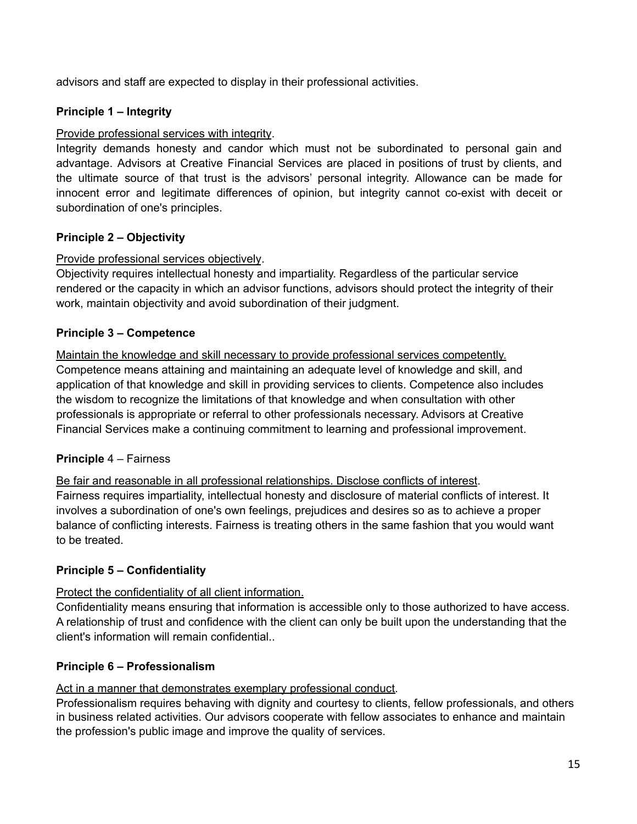advisors and staff are expected to display in their professional activities.

#### **Principle 1 – Integrity**

#### Provide professional services with integrity.

Integrity demands honesty and candor which must not be subordinated to personal gain and advantage. Advisors at Creative Financial Services are placed in positions of trust by clients, and the ultimate source of that trust is the advisors' personal integrity. Allowance can be made for innocent error and legitimate differences of opinion, but integrity cannot co-exist with deceit or subordination of one's principles.

#### **Principle 2 – Objectivity**

#### Provide professional services objectively.

Objectivity requires intellectual honesty and impartiality. Regardless of the particular service rendered or the capacity in which an advisor functions, advisors should protect the integrity of their work, maintain objectivity and avoid subordination of their judgment.

#### **Principle 3 – Competence**

Maintain the knowledge and skill necessary to provide professional services competently. Competence means attaining and maintaining an adequate level of knowledge and skill, and application of that knowledge and skill in providing services to clients. Competence also includes the wisdom to recognize the limitations of that knowledge and when consultation with other professionals is appropriate or referral to other professionals necessary. Advisors at Creative Financial Services make a continuing commitment to learning and professional improvement.

#### **Principle** 4 – Fairness

Be fair and reasonable in all professional relationships. Disclose conflicts of interest. Fairness requires impartiality, intellectual honesty and disclosure of material conflicts of interest. It involves a subordination of one's own feelings, prejudices and desires so as to achieve a proper balance of conflicting interests. Fairness is treating others in the same fashion that you would want to be treated.

#### **Principle 5 – Confidentiality**

#### Protect the confidentiality of all client information.

Confidentiality means ensuring that information is accessible only to those authorized to have access. A relationship of trust and confidence with the client can only be built upon the understanding that the client's information will remain confidential..

#### **Principle 6 – Professionalism**

#### Act in a manner that demonstrates exemplary professional conduct.

Professionalism requires behaving with dignity and courtesy to clients, fellow professionals, and others in business related activities. Our advisors cooperate with fellow associates to enhance and maintain the profession's public image and improve the quality of services.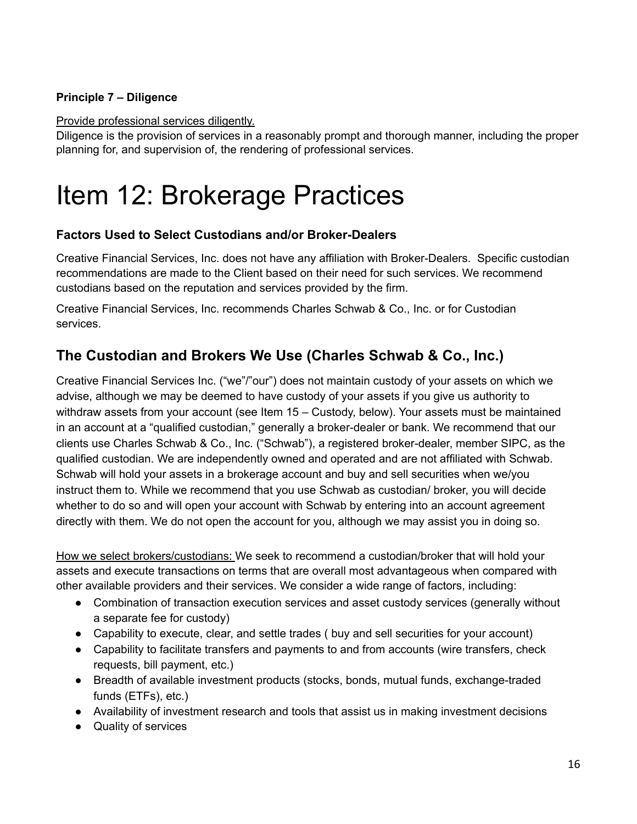#### **Principle 7 – Diligence**

Provide professional services diligently.

Diligence is the provision of services in a reasonably prompt and thorough manner, including the proper planning for, and supervision of, the rendering of professional services.

## Item 12: Brokerage Practices

#### **Factors Used to Select Custodians and/or Broker-Dealers**

Creative Financial Services, Inc. does not have any affiliation with Broker-Dealers. Specific custodian recommendations are made to the Client based on their need for such services. We recommend custodians based on the reputation and services provided by the firm.

Creative Financial Services, Inc. recommends Charles Schwab & Co., Inc. or for Custodian services.

### **The Custodian and Brokers We Use (Charles Schwab & Co., Inc.)**

Creative Financial Services Inc. ("we"/"our") does not maintain custody of your assets on which we advise, although we may be deemed to have custody of your assets if you give us authority to withdraw assets from your account (see Item 15 – Custody, below). Your assets must be maintained in an account at a "qualified custodian," generally a broker-dealer or bank. We recommend that our clients use Charles Schwab & Co., Inc. ("Schwab"), a registered broker-dealer, member SIPC, as the qualified custodian. We are independently owned and operated and are not affiliated with Schwab. Schwab will hold your assets in a brokerage account and buy and sell securities when we/you instruct them to. While we recommend that you use Schwab as custodian/ broker, you will decide whether to do so and will open your account with Schwab by entering into an account agreement directly with them. We do not open the account for you, although we may assist you in doing so.

How we select brokers/custodians: We seek to recommend a custodian/broker that will hold your assets and execute transactions on terms that are overall most advantageous when compared with other available providers and their services. We consider a wide range of factors, including:

- Combination of transaction execution services and asset custody services (generally without a separate fee for custody)
- Capability to execute, clear, and settle trades (buy and sell securities for your account)
- Capability to facilitate transfers and payments to and from accounts (wire transfers, check requests, bill payment, etc.)
- Breadth of available investment products (stocks, bonds, mutual funds, exchange-traded funds (ETFs), etc.)
- Availability of investment research and tools that assist us in making investment decisions
- Quality of services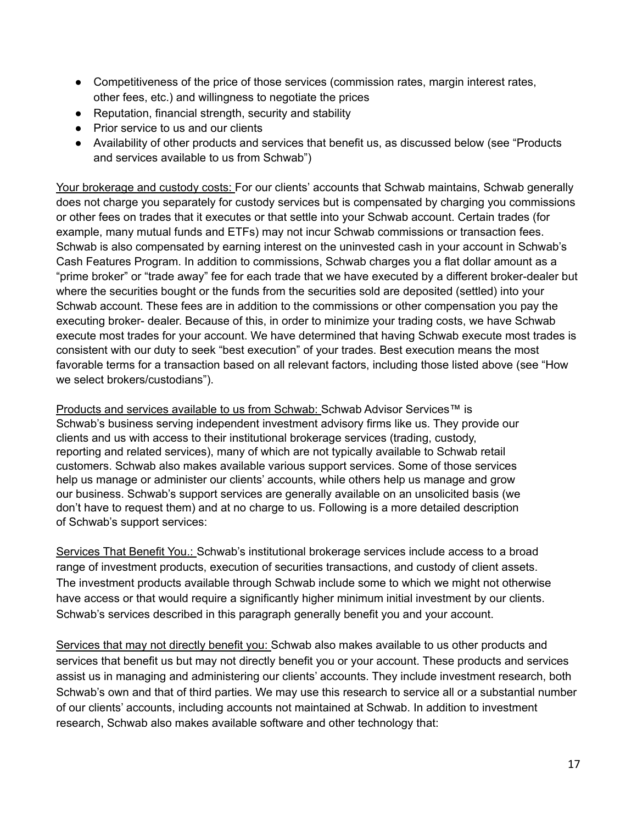- Competitiveness of the price of those services (commission rates, margin interest rates, other fees, etc.) and willingness to negotiate the prices
- Reputation, financial strength, security and stability
- Prior service to us and our clients
- Availability of other products and services that benefit us, as discussed below (see "Products and services available to us from Schwab")

Your brokerage and custody costs: For our clients' accounts that Schwab maintains, Schwab generally does not charge you separately for custody services but is compensated by charging you commissions or other fees on trades that it executes or that settle into your Schwab account. Certain trades (for example, many mutual funds and ETFs) may not incur Schwab commissions or transaction fees. Schwab is also compensated by earning interest on the uninvested cash in your account in Schwab's Cash Features Program. In addition to commissions, Schwab charges you a flat dollar amount as a "prime broker" or "trade away" fee for each trade that we have executed by a different broker-dealer but where the securities bought or the funds from the securities sold are deposited (settled) into your Schwab account. These fees are in addition to the commissions or other compensation you pay the executing broker- dealer. Because of this, in order to minimize your trading costs, we have Schwab execute most trades for your account. We have determined that having Schwab execute most trades is consistent with our duty to seek "best execution" of your trades. Best execution means the most favorable terms for a transaction based on all relevant factors, including those listed above (see "How we select brokers/custodians").

Products and services available to us from Schwab: Schwab Advisor Services™ is Schwab's business serving independent investment advisory firms like us. They provide our clients and us with access to their institutional brokerage services (trading, custody, reporting and related services), many of which are not typically available to Schwab retail customers. Schwab also makes available various support services. Some of those services help us manage or administer our clients' accounts, while others help us manage and grow our business. Schwab's support services are generally available on an unsolicited basis (we don't have to request them) and at no charge to us. Following is a more detailed description of Schwab's support services:

Services That Benefit You.: Schwab's institutional brokerage services include access to a broad range of investment products, execution of securities transactions, and custody of client assets. The investment products available through Schwab include some to which we might not otherwise have access or that would require a significantly higher minimum initial investment by our clients. Schwab's services described in this paragraph generally benefit you and your account.

Services that may not directly benefit you: Schwab also makes available to us other products and services that benefit us but may not directly benefit you or your account. These products and services assist us in managing and administering our clients' accounts. They include investment research, both Schwab's own and that of third parties. We may use this research to service all or a substantial number of our clients' accounts, including accounts not maintained at Schwab. In addition to investment research, Schwab also makes available software and other technology that: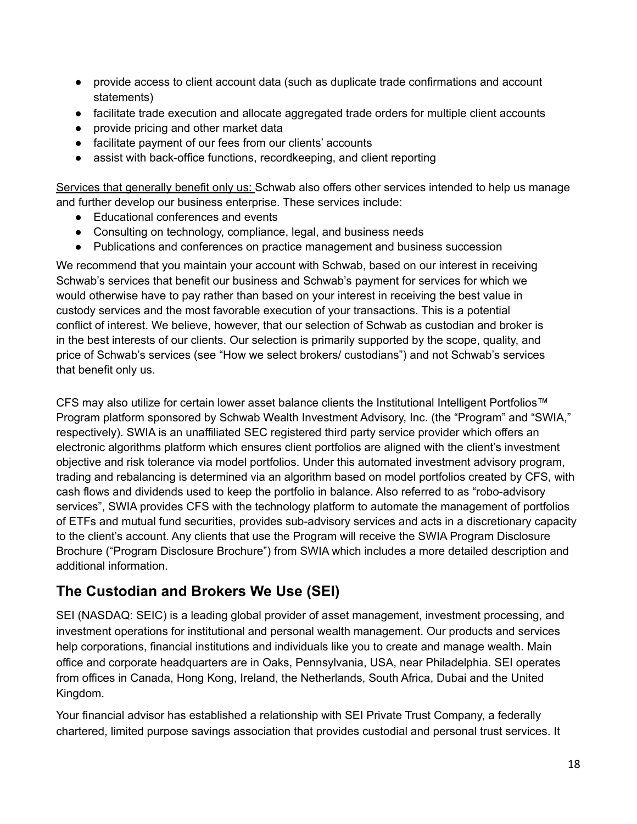- provide access to client account data (such as duplicate trade confirmations and account statements)
- facilitate trade execution and allocate aggregated trade orders for multiple client accounts
- provide pricing and other market data
- facilitate payment of our fees from our clients' accounts
- assist with back-office functions, recordkeeping, and client reporting

Services that generally benefit only us: Schwab also offers other services intended to help us manage and further develop our business enterprise. These services include:

- Educational conferences and events
- Consulting on technology, compliance, legal, and business needs
- Publications and conferences on practice management and business succession

We recommend that you maintain your account with Schwab, based on our interest in receiving Schwab's services that benefit our business and Schwab's payment for services for which we would otherwise have to pay rather than based on your interest in receiving the best value in custody services and the most favorable execution of your transactions. This is a potential conflict of interest. We believe, however, that our selection of Schwab as custodian and broker is in the best interests of our clients. Our selection is primarily supported by the scope, quality, and price of Schwab's services (see "How we select brokers/ custodians") and not Schwab's services that benefit only us.

CFS may also utilize for certain lower asset balance clients the Institutional Intelligent Portfolios™ Program platform sponsored by Schwab Wealth Investment Advisory, Inc. (the "Program" and "SWIA," respectively). SWIA is an unaffiliated SEC registered third party service provider which offers an electronic algorithms platform which ensures client portfolios are aligned with the client's investment objective and risk tolerance via model portfolios. Under this automated investment advisory program, trading and rebalancing is determined via an algorithm based on model portfolios created by CFS, with cash flows and dividends used to keep the portfolio in balance. Also referred to as "robo-advisory services", SWIA provides CFS with the technology platform to automate the management of portfolios of ETFs and mutual fund securities, provides sub-advisory services and acts in a discretionary capacity to the client's account. Any clients that use the Program will receive the SWIA Program Disclosure Brochure ("Program Disclosure Brochure") from SWIA which includes a more detailed description and additional information.

### **The Custodian and Brokers We Use (SEI)**

SEI (NASDAQ: SEIC) is a leading global provider of asset management, investment processing, and investment operations for institutional and personal wealth management. Our products and services help corporations, financial institutions and individuals like you to create and manage wealth. Main office and corporate headquarters are in Oaks, Pennsylvania, USA, near Philadelphia. SEI operates from offices in Canada, Hong Kong, Ireland, the Netherlands, South Africa, Dubai and the United Kingdom.

Your financial advisor has established a relationship with SEI Private Trust Company, a federally chartered, limited purpose savings association that provides custodial and personal trust services. It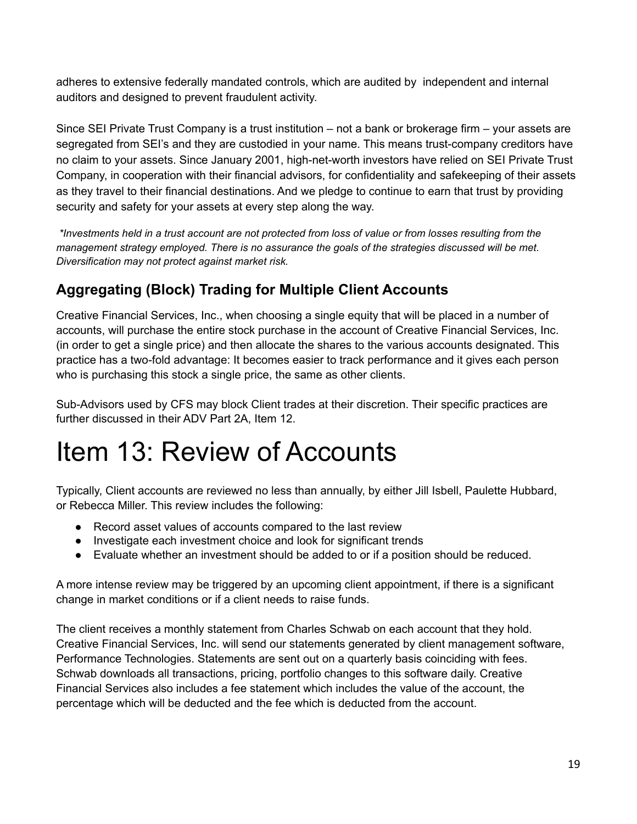adheres to extensive federally mandated controls, which are audited by independent and internal auditors and designed to prevent fraudulent activity.

Since SEI Private Trust Company is a trust institution – not a bank or brokerage firm – your assets are segregated from SEI's and they are custodied in your name. This means trust-company creditors have no claim to your assets. Since January 2001, high-net-worth investors have relied on SEI Private Trust Company, in cooperation with their financial advisors, for confidentiality and safekeeping of their assets as they travel to their financial destinations. And we pledge to continue to earn that trust by providing security and safety for your assets at every step along the way.

\*Investments held in a trust account are not protected from loss of value or from losses resulting from the *management strategy employed. There is no assurance the goals of the strategies discussed will be met. Diversification may not protect against market risk.*

### **Aggregating (Block) Trading for Multiple Client Accounts**

Creative Financial Services, Inc., when choosing a single equity that will be placed in a number of accounts, will purchase the entire stock purchase in the account of Creative Financial Services, Inc. (in order to get a single price) and then allocate the shares to the various accounts designated. This practice has a two-fold advantage: It becomes easier to track performance and it gives each person who is purchasing this stock a single price, the same as other clients.

Sub-Advisors used by CFS may block Client trades at their discretion. Their specific practices are further discussed in their ADV Part 2A, Item 12.

## Item 13: Review of Accounts

Typically, Client accounts are reviewed no less than annually, by either Jill Isbell, Paulette Hubbard, or Rebecca Miller. This review includes the following:

- Record asset values of accounts compared to the last review
- Investigate each investment choice and look for significant trends
- Evaluate whether an investment should be added to or if a position should be reduced.

A more intense review may be triggered by an upcoming client appointment, if there is a significant change in market conditions or if a client needs to raise funds.

The client receives a monthly statement from Charles Schwab on each account that they hold. Creative Financial Services, Inc. will send our statements generated by client management software, Performance Technologies. Statements are sent out on a quarterly basis coinciding with fees. Schwab downloads all transactions, pricing, portfolio changes to this software daily. Creative Financial Services also includes a fee statement which includes the value of the account, the percentage which will be deducted and the fee which is deducted from the account.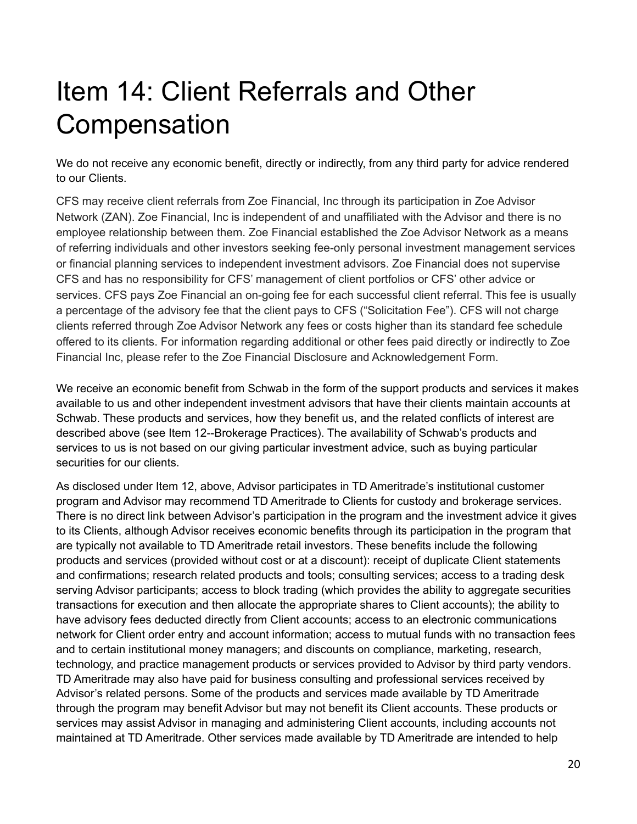# Item 14: Client Referrals and Other Compensation

We do not receive any economic benefit, directly or indirectly, from any third party for advice rendered to our Clients.

CFS may receive client referrals from Zoe Financial, Inc through its participation in Zoe Advisor Network (ZAN). Zoe Financial, Inc is independent of and unaffiliated with the Advisor and there is no employee relationship between them. Zoe Financial established the Zoe Advisor Network as a means of referring individuals and other investors seeking fee-only personal investment management services or financial planning services to independent investment advisors. Zoe Financial does not supervise CFS and has no responsibility for CFS' management of client portfolios or CFS' other advice or services. CFS pays Zoe Financial an on-going fee for each successful client referral. This fee is usually a percentage of the advisory fee that the client pays to CFS ("Solicitation Fee"). CFS will not charge clients referred through Zoe Advisor Network any fees or costs higher than its standard fee schedule offered to its clients. For information regarding additional or other fees paid directly or indirectly to Zoe Financial Inc, please refer to the Zoe Financial Disclosure and Acknowledgement Form.

We receive an economic benefit from Schwab in the form of the support products and services it makes available to us and other independent investment advisors that have their clients maintain accounts at Schwab. These products and services, how they benefit us, and the related conflicts of interest are described above (see Item 12--Brokerage Practices). The availability of Schwab's products and services to us is not based on our giving particular investment advice, such as buying particular securities for our clients.

As disclosed under Item 12, above, Advisor participates in TD Ameritrade's institutional customer program and Advisor may recommend TD Ameritrade to Clients for custody and brokerage services. There is no direct link between Advisor's participation in the program and the investment advice it gives to its Clients, although Advisor receives economic benefits through its participation in the program that are typically not available to TD Ameritrade retail investors. These benefits include the following products and services (provided without cost or at a discount): receipt of duplicate Client statements and confirmations; research related products and tools; consulting services; access to a trading desk serving Advisor participants; access to block trading (which provides the ability to aggregate securities transactions for execution and then allocate the appropriate shares to Client accounts); the ability to have advisory fees deducted directly from Client accounts; access to an electronic communications network for Client order entry and account information; access to mutual funds with no transaction fees and to certain institutional money managers; and discounts on compliance, marketing, research, technology, and practice management products or services provided to Advisor by third party vendors. TD Ameritrade may also have paid for business consulting and professional services received by Advisor's related persons. Some of the products and services made available by TD Ameritrade through the program may benefit Advisor but may not benefit its Client accounts. These products or services may assist Advisor in managing and administering Client accounts, including accounts not maintained at TD Ameritrade. Other services made available by TD Ameritrade are intended to help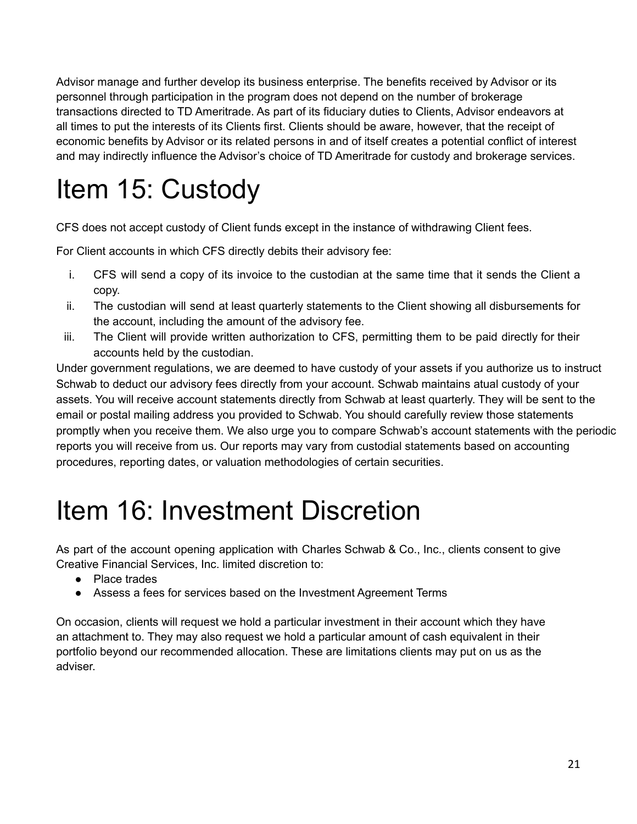Advisor manage and further develop its business enterprise. The benefits received by Advisor or its personnel through participation in the program does not depend on the number of brokerage transactions directed to TD Ameritrade. As part of its fiduciary duties to Clients, Advisor endeavors at all times to put the interests of its Clients first. Clients should be aware, however, that the receipt of economic benefits by Advisor or its related persons in and of itself creates a potential conflict of interest and may indirectly influence the Advisor's choice of TD Ameritrade for custody and brokerage services.

# Item 15: Custody

CFS does not accept custody of Client funds except in the instance of withdrawing Client fees.

For Client accounts in which CFS directly debits their advisory fee:

- i. CFS will send a copy of its invoice to the custodian at the same time that it sends the Client a copy.
- ii. The custodian will send at least quarterly statements to the Client showing all disbursements for the account, including the amount of the advisory fee.
- iii. The Client will provide written authorization to CFS, permitting them to be paid directly for their accounts held by the custodian.

Under government regulations, we are deemed to have custody of your assets if you authorize us to instruct Schwab to deduct our advisory fees directly from your account. Schwab maintains atual custody of your assets. You will receive account statements directly from Schwab at least quarterly. They will be sent to the email or postal mailing address you provided to Schwab. You should carefully review those statements promptly when you receive them. We also urge you to compare Schwab's account statements with the periodic reports you will receive from us. Our reports may vary from custodial statements based on accounting procedures, reporting dates, or valuation methodologies of certain securities.

## Item 16: Investment Discretion

As part of the account opening application with Charles Schwab & Co., Inc., clients consent to give Creative Financial Services, Inc. limited discretion to:

- Place trades
- Assess a fees for services based on the Investment Agreement Terms

On occasion, clients will request we hold a particular investment in their account which they have an attachment to. They may also request we hold a particular amount of cash equivalent in their portfolio beyond our recommended allocation. These are limitations clients may put on us as the adviser.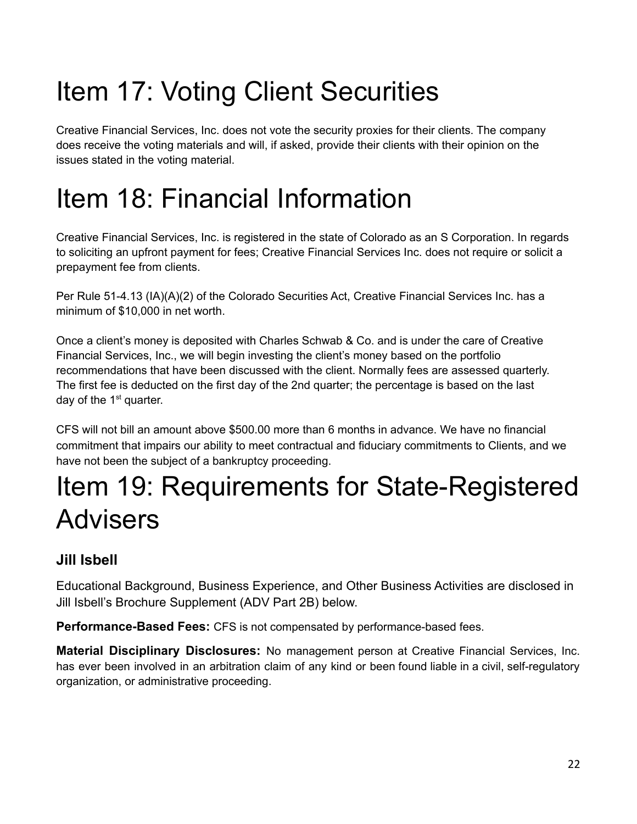# Item 17: Voting Client Securities

Creative Financial Services, Inc. does not vote the security proxies for their clients. The company does receive the voting materials and will, if asked, provide their clients with their opinion on the issues stated in the voting material.

## Item 18: Financial Information

Creative Financial Services, Inc. is registered in the state of Colorado as an S Corporation. In regards to soliciting an upfront payment for fees; Creative Financial Services Inc. does not require or solicit a prepayment fee from clients.

Per Rule 51-4.13 (IA)(A)(2) of the Colorado Securities Act, Creative Financial Services Inc. has a minimum of \$10,000 in net worth.

Once a client's money is deposited with Charles Schwab & Co. and is under the care of Creative Financial Services, Inc., we will begin investing the client's money based on the portfolio recommendations that have been discussed with the client. Normally fees are assessed quarterly. The first fee is deducted on the first day of the 2nd quarter; the percentage is based on the last day of the  $1<sup>st</sup>$  quarter.

CFS will not bill an amount above \$500.00 more than 6 months in advance. We have no financial commitment that impairs our ability to meet contractual and fiduciary commitments to Clients, and we have not been the subject of a bankruptcy proceeding.

## Item 19: Requirements for State-Registered Advisers

### **Jill Isbell**

Educational Background, Business Experience, and Other Business Activities are disclosed in Jill Isbell's Brochure Supplement (ADV Part 2B) below.

**Performance-Based Fees:** CFS is not compensated by performance-based fees.

**Material Disciplinary Disclosures:** No management person at Creative Financial Services, Inc. has ever been involved in an arbitration claim of any kind or been found liable in a civil, self-regulatory organization, or administrative proceeding.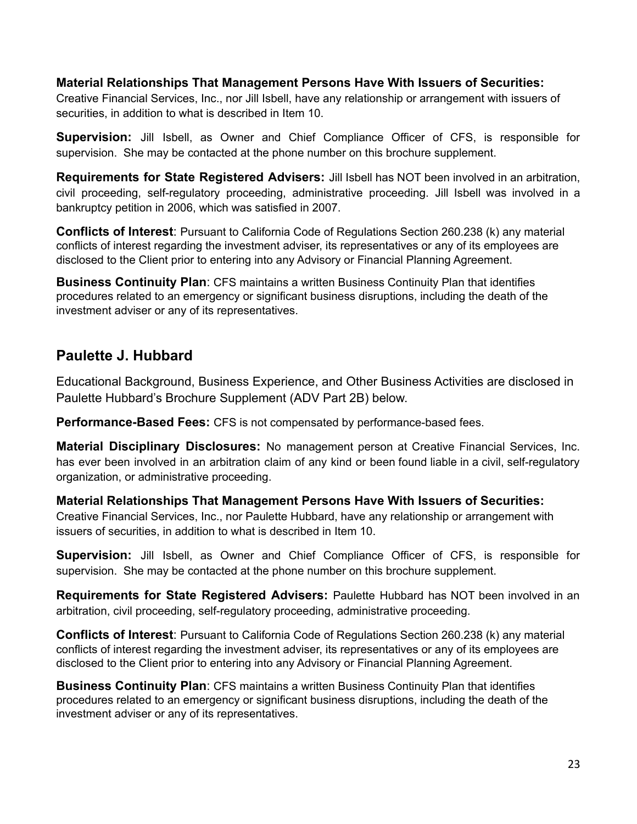#### **Material Relationships That Management Persons Have With Issuers of Securities:**

Creative Financial Services, Inc., nor Jill Isbell, have any relationship or arrangement with issuers of securities, in addition to what is described in Item 10.

**Supervision:** Jill Isbell, as Owner and Chief Compliance Officer of CFS, is responsible for supervision. She may be contacted at the phone number on this brochure supplement.

**Requirements for State Registered Advisers:** Jill Isbell has NOT been involved in an arbitration, civil proceeding, self-regulatory proceeding, administrative proceeding. Jill Isbell was involved in a bankruptcy petition in 2006, which was satisfied in 2007.

**Conflicts of Interest**: Pursuant to California Code of Regulations Section 260.238 (k) any material conflicts of interest regarding the investment adviser, its representatives or any of its employees are disclosed to the Client prior to entering into any Advisory or Financial Planning Agreement.

**Business Continuity Plan**: CFS maintains a written Business Continuity Plan that identifies procedures related to an emergency or significant business disruptions, including the death of the investment adviser or any of its representatives.

#### **Paulette J. Hubbard**

Educational Background, Business Experience, and Other Business Activities are disclosed in Paulette Hubbard's Brochure Supplement (ADV Part 2B) below.

**Performance-Based Fees:** CFS is not compensated by performance-based fees.

**Material Disciplinary Disclosures:** No management person at Creative Financial Services, Inc. has ever been involved in an arbitration claim of any kind or been found liable in a civil, self-regulatory organization, or administrative proceeding.

**Material Relationships That Management Persons Have With Issuers of Securities:** Creative Financial Services, Inc., nor Paulette Hubbard, have any relationship or arrangement with issuers of securities, in addition to what is described in Item 10.

**Supervision:** Jill Isbell, as Owner and Chief Compliance Officer of CFS, is responsible for supervision. She may be contacted at the phone number on this brochure supplement.

**Requirements for State Registered Advisers:** Paulette Hubbard has NOT been involved in an arbitration, civil proceeding, self-regulatory proceeding, administrative proceeding.

**Conflicts of Interest**: Pursuant to California Code of Regulations Section 260.238 (k) any material conflicts of interest regarding the investment adviser, its representatives or any of its employees are disclosed to the Client prior to entering into any Advisory or Financial Planning Agreement.

**Business Continuity Plan**: CFS maintains a written Business Continuity Plan that identifies procedures related to an emergency or significant business disruptions, including the death of the investment adviser or any of its representatives.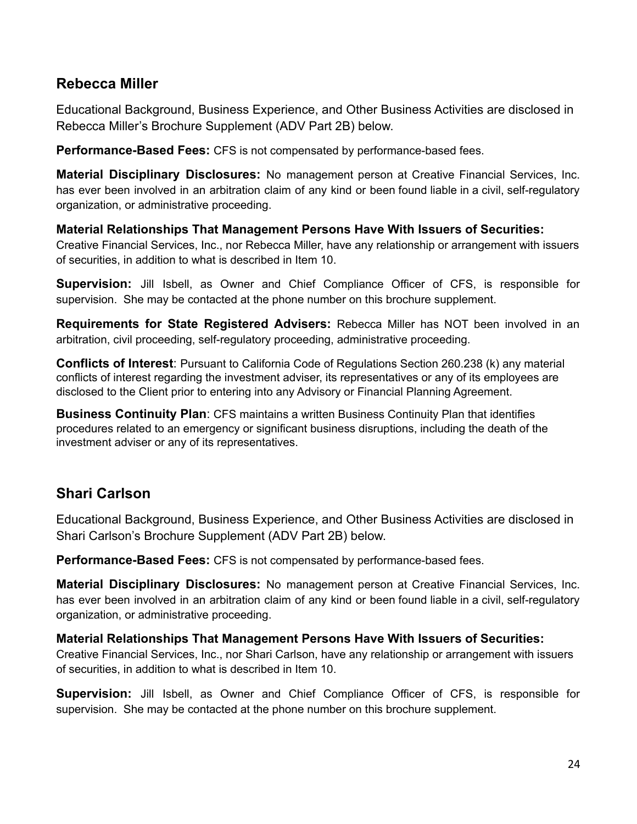#### **Rebecca Miller**

Educational Background, Business Experience, and Other Business Activities are disclosed in Rebecca Miller's Brochure Supplement (ADV Part 2B) below.

**Performance-Based Fees:** CFS is not compensated by performance-based fees.

**Material Disciplinary Disclosures:** No management person at Creative Financial Services, Inc. has ever been involved in an arbitration claim of any kind or been found liable in a civil, self-regulatory organization, or administrative proceeding.

**Material Relationships That Management Persons Have With Issuers of Securities:** Creative Financial Services, Inc., nor Rebecca Miller, have any relationship or arrangement with issuers of securities, in addition to what is described in Item 10.

**Supervision:** Jill Isbell, as Owner and Chief Compliance Officer of CFS, is responsible for supervision. She may be contacted at the phone number on this brochure supplement.

**Requirements for State Registered Advisers:** Rebecca Miller has NOT been involved in an arbitration, civil proceeding, self-regulatory proceeding, administrative proceeding.

**Conflicts of Interest**: Pursuant to California Code of Regulations Section 260.238 (k) any material conflicts of interest regarding the investment adviser, its representatives or any of its employees are disclosed to the Client prior to entering into any Advisory or Financial Planning Agreement.

**Business Continuity Plan**: CFS maintains a written Business Continuity Plan that identifies procedures related to an emergency or significant business disruptions, including the death of the investment adviser or any of its representatives.

### **Shari Carlson**

Educational Background, Business Experience, and Other Business Activities are disclosed in Shari Carlson's Brochure Supplement (ADV Part 2B) below.

**Performance-Based Fees:** CFS is not compensated by performance-based fees.

**Material Disciplinary Disclosures:** No management person at Creative Financial Services, Inc. has ever been involved in an arbitration claim of any kind or been found liable in a civil, self-regulatory organization, or administrative proceeding.

#### **Material Relationships That Management Persons Have With Issuers of Securities:**

Creative Financial Services, Inc., nor Shari Carlson, have any relationship or arrangement with issuers of securities, in addition to what is described in Item 10.

**Supervision:** Jill Isbell, as Owner and Chief Compliance Officer of CFS, is responsible for supervision. She may be contacted at the phone number on this brochure supplement.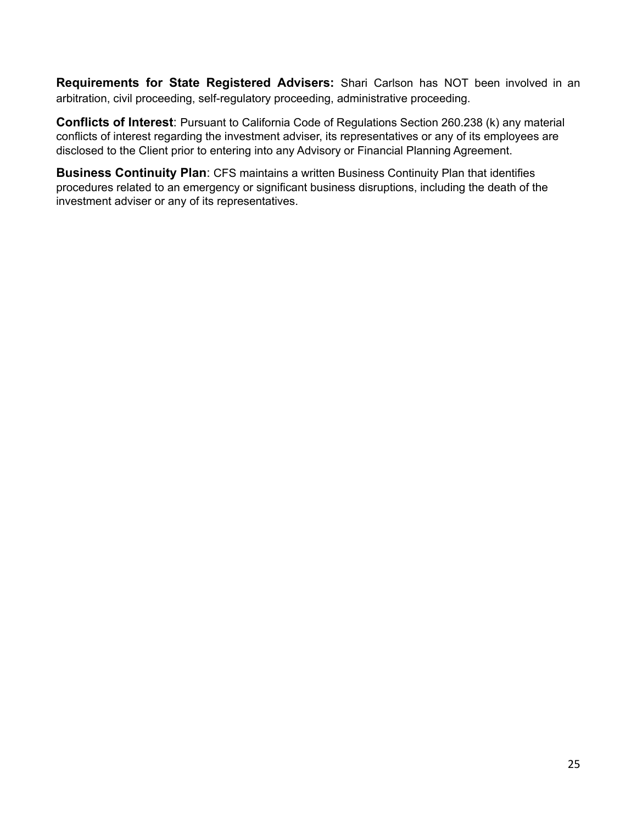**Requirements for State Registered Advisers:** Shari Carlson has NOT been involved in an arbitration, civil proceeding, self-regulatory proceeding, administrative proceeding.

**Conflicts of Interest**: Pursuant to California Code of Regulations Section 260.238 (k) any material conflicts of interest regarding the investment adviser, its representatives or any of its employees are disclosed to the Client prior to entering into any Advisory or Financial Planning Agreement.

**Business Continuity Plan**: CFS maintains a written Business Continuity Plan that identifies procedures related to an emergency or significant business disruptions, including the death of the investment adviser or any of its representatives.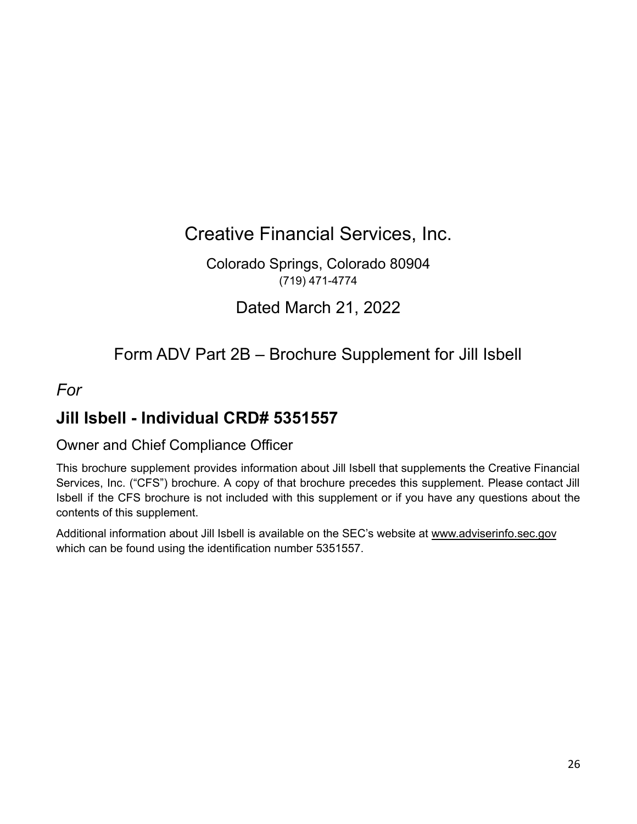Creative Financial Services, Inc.

Colorado Springs, Colorado 80904 (719) 471-4774

Dated March 21, 2022

### Form ADV Part 2B – Brochure Supplement for Jill Isbell

### *For*

### **Jill Isbell - Individual CRD# 5351557**

#### Owner and Chief Compliance Officer

This brochure supplement provides information about Jill Isbell that supplements the Creative Financial Services, Inc. ("CFS") brochure. A copy of that brochure precedes this supplement. Please contact Jill Isbell if the CFS brochure is not included with this supplement or if you have any questions about the contents of this supplement.

Additional information about Jill Isbell is available on the SEC's website at www.adviserinfo.sec.gov which can be found using the identification number 5351557.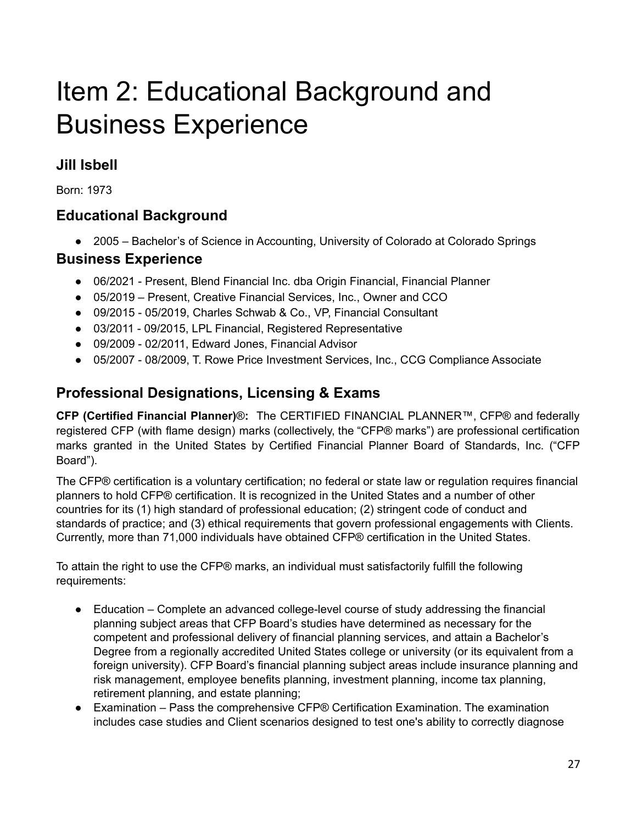## Item 2: Educational Background and Business Experience

### **Jill Isbell**

Born: 1973

### **Educational Background**

● 2005 – Bachelor's of Science in Accounting, University of Colorado at Colorado Springs

#### **Business Experience**

- 06/2021 Present, Blend Financial Inc. dba Origin Financial, Financial Planner
- 05/2019 Present, Creative Financial Services, Inc., Owner and CCO
- 09/2015 05/2019, Charles Schwab & Co., VP, Financial Consultant
- 03/2011 09/2015, LPL Financial, Registered Representative
- 09/2009 02/2011, Edward Jones, Financial Advisor
- 05/2007 08/2009, T. Rowe Price Investment Services, Inc., CCG Compliance Associate

### **Professional Designations, Licensing & Exams**

**CFP (Certified Financial Planner)**®**:** The CERTIFIED FINANCIAL PLANNER™, CFP® and federally registered CFP (with flame design) marks (collectively, the "CFP® marks") are professional certification marks granted in the United States by Certified Financial Planner Board of Standards, Inc. ("CFP Board").

The CFP® certification is a voluntary certification; no federal or state law or regulation requires financial planners to hold CFP® certification. It is recognized in the United States and a number of other countries for its (1) high standard of professional education; (2) stringent code of conduct and standards of practice; and (3) ethical requirements that govern professional engagements with Clients. Currently, more than 71,000 individuals have obtained CFP® certification in the United States.

To attain the right to use the CFP® marks, an individual must satisfactorily fulfill the following requirements:

- Education Complete an advanced college-level course of study addressing the financial planning subject areas that CFP Board's studies have determined as necessary for the competent and professional delivery of financial planning services, and attain a Bachelor's Degree from a regionally accredited United States college or university (or its equivalent from a foreign university). CFP Board's financial planning subject areas include insurance planning and risk management, employee benefits planning, investment planning, income tax planning, retirement planning, and estate planning;
- Examination Pass the comprehensive CFP® Certification Examination. The examination includes case studies and Client scenarios designed to test one's ability to correctly diagnose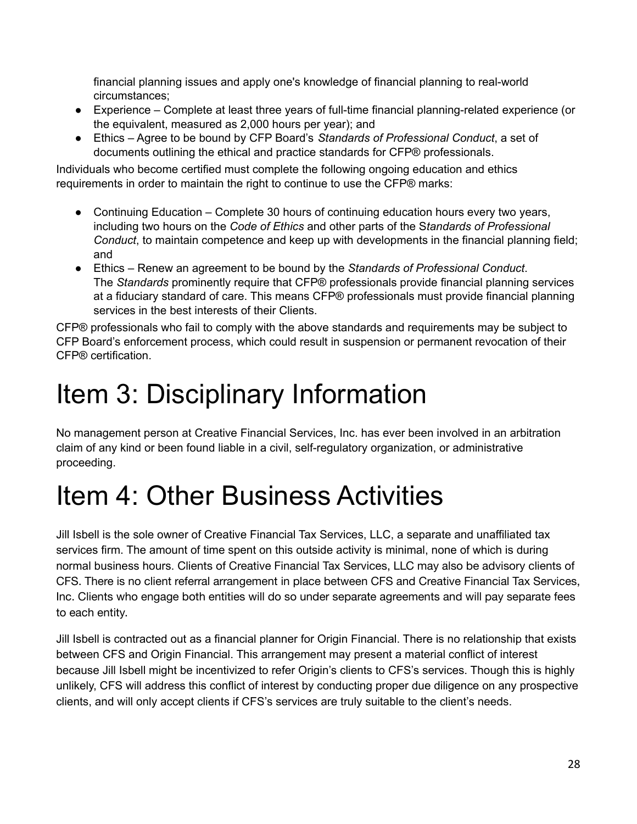financial planning issues and apply one's knowledge of financial planning to real-world circumstances;

- Experience Complete at least three years of full-time financial planning-related experience (or the equivalent, measured as 2,000 hours per year); and
- Ethics Agree to be bound by CFP Board's *Standards of Professional Conduct*, a set of documents outlining the ethical and practice standards for CFP® professionals.

Individuals who become certified must complete the following ongoing education and ethics requirements in order to maintain the right to continue to use the CFP® marks:

- Continuing Education Complete 30 hours of continuing education hours every two years, including two hours on the *Code of Ethics* and other parts of the S*tandards of Professional Conduct*, to maintain competence and keep up with developments in the financial planning field; and
- Ethics Renew an agreement to be bound by the *Standards of Professional Conduct*. The *Standards* prominently require that CFP® professionals provide financial planning services at a fiduciary standard of care. This means CFP® professionals must provide financial planning services in the best interests of their Clients.

CFP® professionals who fail to comply with the above standards and requirements may be subject to CFP Board's enforcement process, which could result in suspension or permanent revocation of their CFP® certification.

# Item 3: Disciplinary Information

No management person at Creative Financial Services, Inc. has ever been involved in an arbitration claim of any kind or been found liable in a civil, self-regulatory organization, or administrative proceeding.

## Item 4: Other Business Activities

Jill Isbell is the sole owner of Creative Financial Tax Services, LLC, a separate and unaffiliated tax services firm. The amount of time spent on this outside activity is minimal, none of which is during normal business hours. Clients of Creative Financial Tax Services, LLC may also be advisory clients of CFS. There is no client referral arrangement in place between CFS and Creative Financial Tax Services, Inc. Clients who engage both entities will do so under separate agreements and will pay separate fees to each entity.

Jill Isbell is contracted out as a financial planner for Origin Financial. There is no relationship that exists between CFS and Origin Financial. This arrangement may present a material conflict of interest because Jill Isbell might be incentivized to refer Origin's clients to CFS's services. Though this is highly unlikely, CFS will address this conflict of interest by conducting proper due diligence on any prospective clients, and will only accept clients if CFS's services are truly suitable to the client's needs.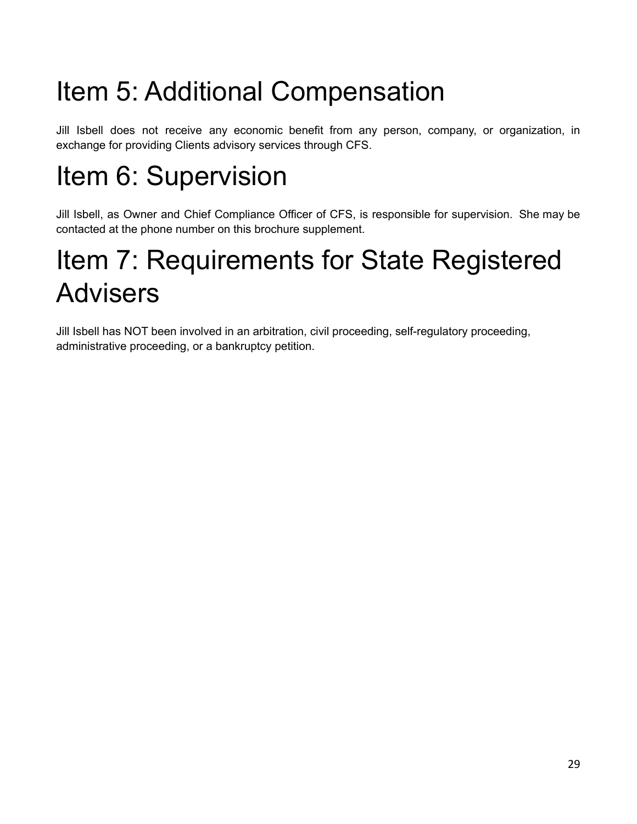# Item 5: Additional Compensation

Jill Isbell does not receive any economic benefit from any person, company, or organization, in exchange for providing Clients advisory services through CFS.

# Item 6: Supervision

Jill Isbell, as Owner and Chief Compliance Officer of CFS, is responsible for supervision. She may be contacted at the phone number on this brochure supplement.

## Item 7: Requirements for State Registered Advisers

Jill Isbell has NOT been involved in an arbitration, civil proceeding, self-regulatory proceeding, administrative proceeding, or a bankruptcy petition.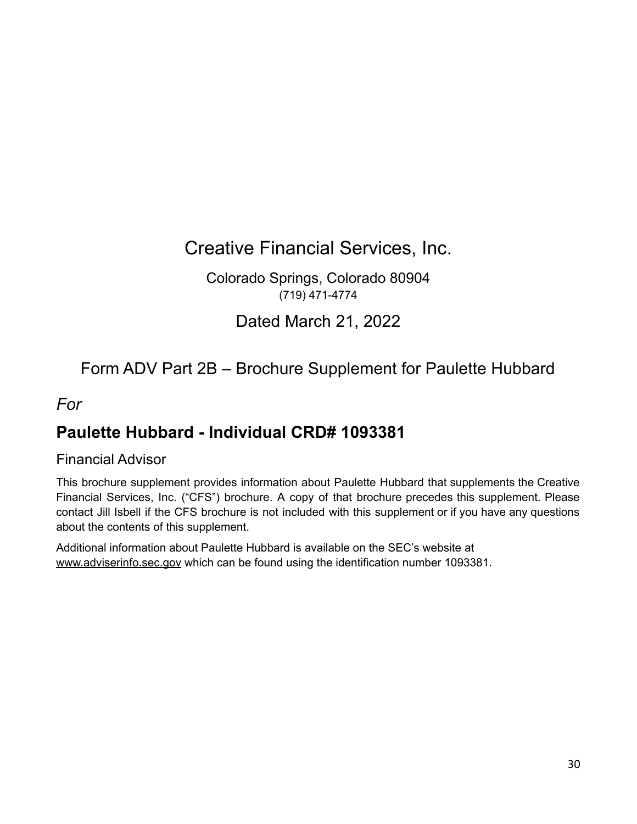## Creative Financial Services, Inc.

Colorado Springs, Colorado 80904 (719) 471-4774

Dated March 21, 2022

Form ADV Part 2B – Brochure Supplement for Paulette Hubbard

*For*

### **Paulette Hubbard - Individual CRD# 1093381**

#### Financial Advisor

This brochure supplement provides information about Paulette Hubbard that supplements the Creative Financial Services, Inc. ("CFS") brochure. A copy of that brochure precedes this supplement. Please contact Jill Isbell if the CFS brochure is not included with this supplement or if you have any questions about the contents of this supplement.

Additional information about Paulette Hubbard is available on the SEC's website at www.adviserinfo.sec.gov which can be found using the identification number 1093381.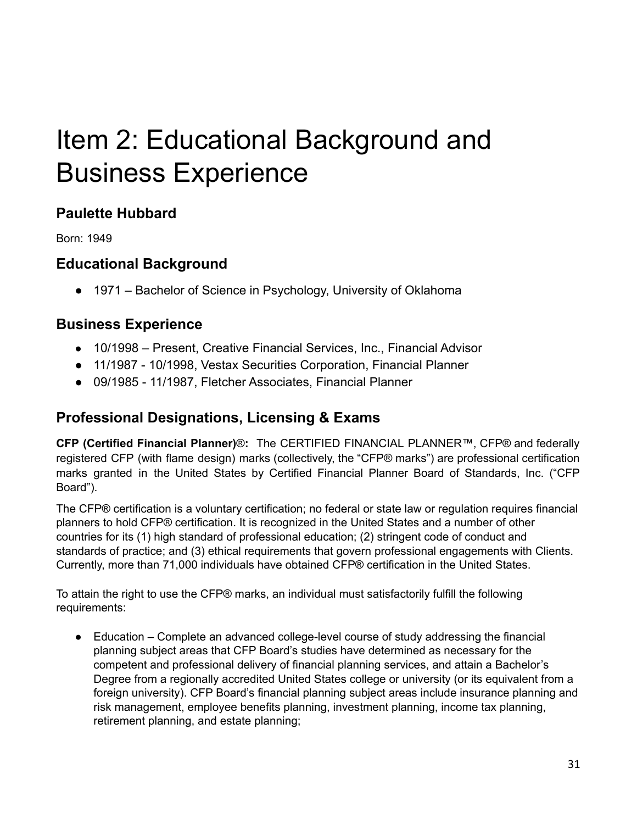## Item 2: Educational Background and Business Experience

### **Paulette Hubbard**

Born: 1949

#### **Educational Background**

● 1971 – Bachelor of Science in Psychology, University of Oklahoma

#### **Business Experience**

- 10/1998 Present, Creative Financial Services, Inc., Financial Advisor
- 11/1987 10/1998, Vestax Securities Corporation, Financial Planner
- 09/1985 11/1987, Fletcher Associates, Financial Planner

### **Professional Designations, Licensing & Exams**

**CFP (Certified Financial Planner)**®**:** The CERTIFIED FINANCIAL PLANNER™, CFP® and federally registered CFP (with flame design) marks (collectively, the "CFP® marks") are professional certification marks granted in the United States by Certified Financial Planner Board of Standards, Inc. ("CFP Board").

The CFP® certification is a voluntary certification; no federal or state law or regulation requires financial planners to hold CFP® certification. It is recognized in the United States and a number of other countries for its (1) high standard of professional education; (2) stringent code of conduct and standards of practice; and (3) ethical requirements that govern professional engagements with Clients. Currently, more than 71,000 individuals have obtained CFP® certification in the United States.

To attain the right to use the CFP® marks, an individual must satisfactorily fulfill the following requirements:

● Education – Complete an advanced college-level course of study addressing the financial planning subject areas that CFP Board's studies have determined as necessary for the competent and professional delivery of financial planning services, and attain a Bachelor's Degree from a regionally accredited United States college or university (or its equivalent from a foreign university). CFP Board's financial planning subject areas include insurance planning and risk management, employee benefits planning, investment planning, income tax planning, retirement planning, and estate planning;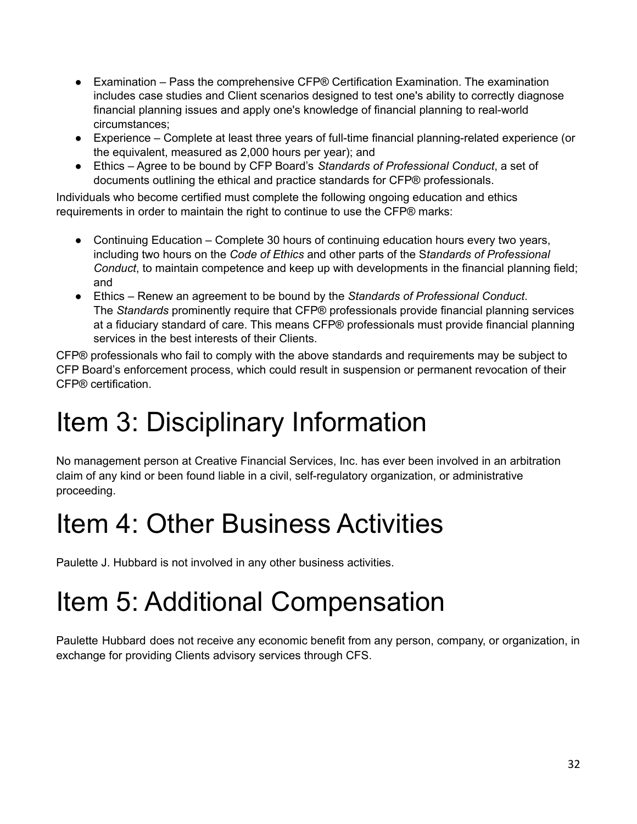- $\bullet$  Examination Pass the comprehensive CFP® Certification Examination. The examination includes case studies and Client scenarios designed to test one's ability to correctly diagnose financial planning issues and apply one's knowledge of financial planning to real-world circumstances;
- Experience Complete at least three years of full-time financial planning-related experience (or the equivalent, measured as 2,000 hours per year); and
- Ethics Agree to be bound by CFP Board's *Standards of Professional Conduct*, a set of documents outlining the ethical and practice standards for CFP® professionals.

Individuals who become certified must complete the following ongoing education and ethics requirements in order to maintain the right to continue to use the CFP® marks:

- Continuing Education Complete 30 hours of continuing education hours every two years, including two hours on the *Code of Ethics* and other parts of the S*tandards of Professional Conduct*, to maintain competence and keep up with developments in the financial planning field; and
- Ethics Renew an agreement to be bound by the *Standards of Professional Conduct*. The *Standards* prominently require that CFP® professionals provide financial planning services at a fiduciary standard of care. This means CFP® professionals must provide financial planning services in the best interests of their Clients.

CFP® professionals who fail to comply with the above standards and requirements may be subject to CFP Board's enforcement process, which could result in suspension or permanent revocation of their CFP® certification.

## Item 3: Disciplinary Information

No management person at Creative Financial Services, Inc. has ever been involved in an arbitration claim of any kind or been found liable in a civil, self-regulatory organization, or administrative proceeding.

## Item 4: Other Business Activities

Paulette J. Hubbard is not involved in any other business activities.

# Item 5: Additional Compensation

Paulette Hubbard does not receive any economic benefit from any person, company, or organization, in exchange for providing Clients advisory services through CFS.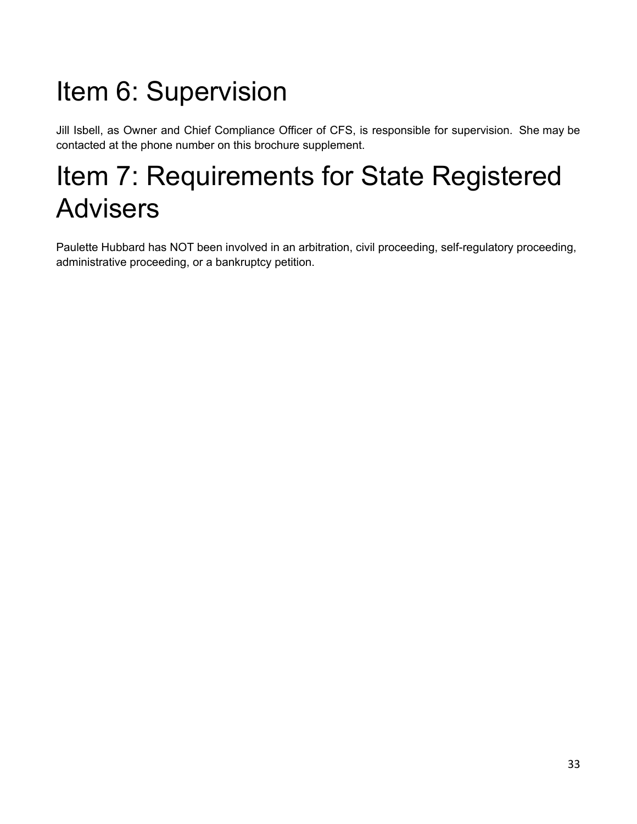# Item 6: Supervision

Jill Isbell, as Owner and Chief Compliance Officer of CFS, is responsible for supervision. She may be contacted at the phone number on this brochure supplement.

## Item 7: Requirements for State Registered Advisers

Paulette Hubbard has NOT been involved in an arbitration, civil proceeding, self-regulatory proceeding, administrative proceeding, or a bankruptcy petition.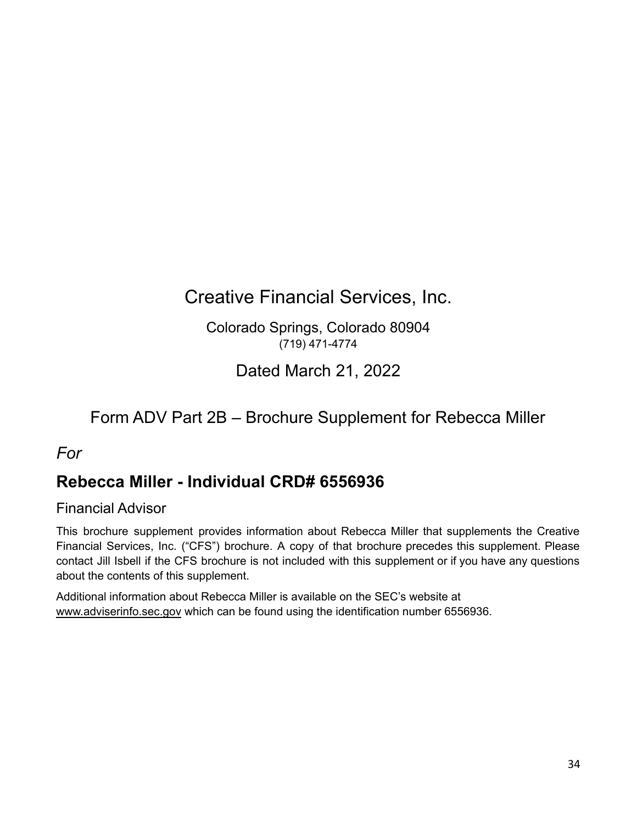## Creative Financial Services, Inc.

Colorado Springs, Colorado 80904 (719) 471-4774

Dated March 21, 2022

## Form ADV Part 2B – Brochure Supplement for Rebecca Miller

#### *For*

### **Rebecca Miller - Individual CRD# 6556936**

#### Financial Advisor

This brochure supplement provides information about Rebecca Miller that supplements the Creative Financial Services, Inc. ("CFS") brochure. A copy of that brochure precedes this supplement. Please contact Jill Isbell if the CFS brochure is not included with this supplement or if you have any questions about the contents of this supplement.

Additional information about Rebecca Miller is available on the SEC's website at www.adviserinfo.sec.gov which can be found using the identification number 6556936.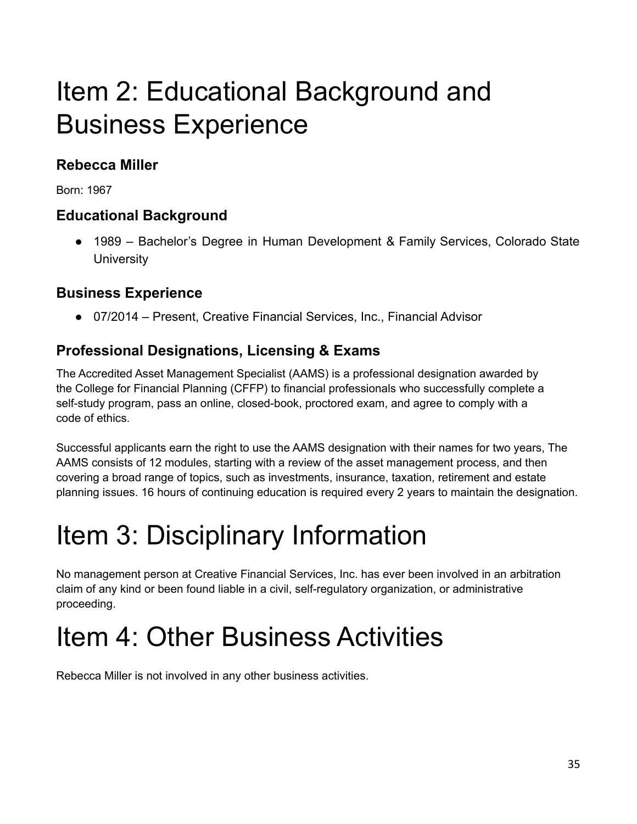## Item 2: Educational Background and Business Experience

### **Rebecca Miller**

Born: 1967

### **Educational Background**

● 1989 – Bachelor's Degree in Human Development & Family Services, Colorado State **University** 

### **Business Experience**

● 07/2014 – Present, Creative Financial Services, Inc., Financial Advisor

### **Professional Designations, Licensing & Exams**

The Accredited Asset Management Specialist (AAMS) is a professional designation awarded by the College for Financial Planning (CFFP) to financial professionals who successfully complete a self-study program, pass an online, closed-book, proctored exam, and agree to comply with a code of ethics.

Successful applicants earn the right to use the AAMS designation with their names for two years, The AAMS consists of 12 modules, starting with a review of the asset management process, and then covering a broad range of topics, such as investments, insurance, taxation, retirement and estate planning issues. 16 hours of continuing education is required every 2 years to maintain the designation.

# Item 3: Disciplinary Information

No management person at Creative Financial Services, Inc. has ever been involved in an arbitration claim of any kind or been found liable in a civil, self-regulatory organization, or administrative proceeding.

# Item 4: Other Business Activities

Rebecca Miller is not involved in any other business activities.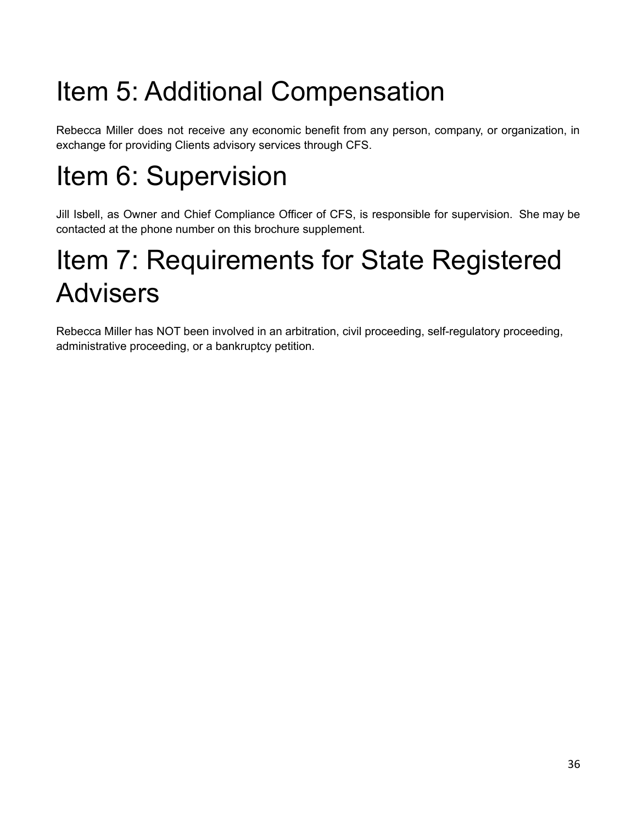# Item 5: Additional Compensation

Rebecca Miller does not receive any economic benefit from any person, company, or organization, in exchange for providing Clients advisory services through CFS.

# Item 6: Supervision

Jill Isbell, as Owner and Chief Compliance Officer of CFS, is responsible for supervision. She may be contacted at the phone number on this brochure supplement.

## Item 7: Requirements for State Registered Advisers

Rebecca Miller has NOT been involved in an arbitration, civil proceeding, self-regulatory proceeding, administrative proceeding, or a bankruptcy petition.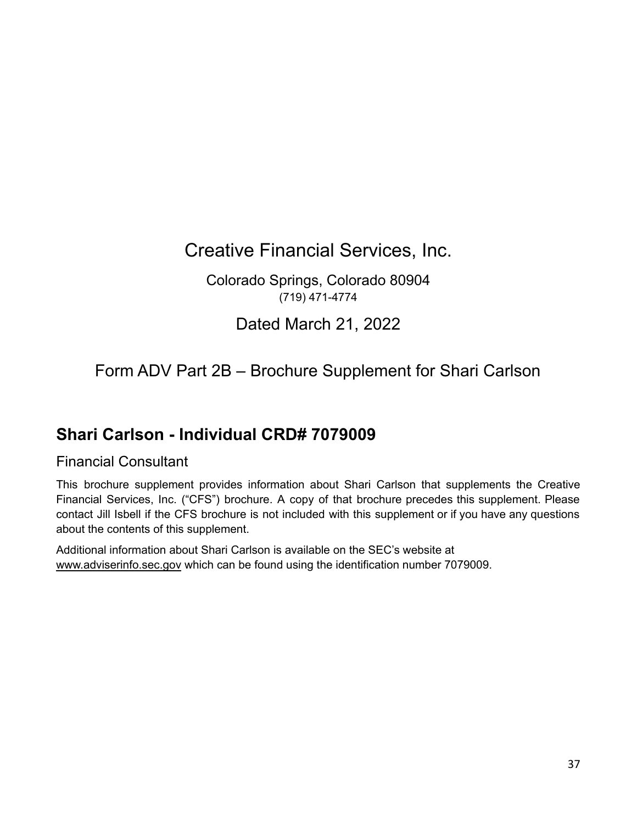Creative Financial Services, Inc.

Colorado Springs, Colorado 80904 (719) 471-4774

Dated March 21, 2022

Form ADV Part 2B – Brochure Supplement for Shari Carlson

### **Shari Carlson - Individual CRD# 7079009**

#### Financial Consultant

This brochure supplement provides information about Shari Carlson that supplements the Creative Financial Services, Inc. ("CFS") brochure. A copy of that brochure precedes this supplement. Please contact Jill Isbell if the CFS brochure is not included with this supplement or if you have any questions about the contents of this supplement.

Additional information about Shari Carlson is available on the SEC's website at www.adviserinfo.sec.gov which can be found using the identification number 7079009.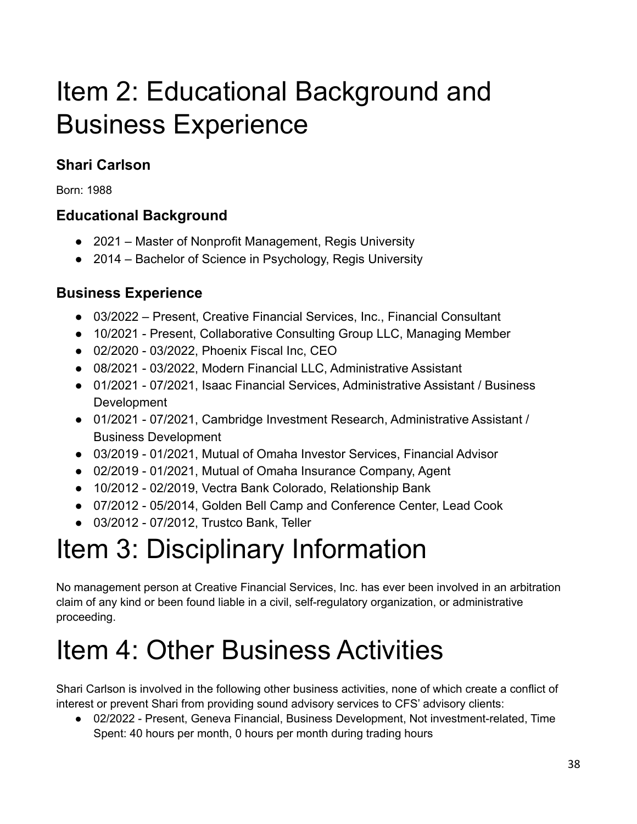## Item 2: Educational Background and Business Experience

### **Shari Carlson**

Born: 1988

### **Educational Background**

- 2021 Master of Nonprofit Management, Regis University
- 2014 Bachelor of Science in Psychology, Regis University

### **Business Experience**

- 03/2022 Present, Creative Financial Services, Inc., Financial Consultant
- 10/2021 Present, Collaborative Consulting Group LLC, Managing Member
- 02/2020 03/2022, Phoenix Fiscal Inc, CEO
- 08/2021 03/2022, Modern Financial LLC, Administrative Assistant
- 01/2021 07/2021, Isaac Financial Services, Administrative Assistant / Business Development
- 01/2021 07/2021, Cambridge Investment Research, Administrative Assistant / Business Development
- 03/2019 01/2021, Mutual of Omaha Investor Services, Financial Advisor
- 02/2019 01/2021, Mutual of Omaha Insurance Company, Agent
- 10/2012 02/2019, Vectra Bank Colorado, Relationship Bank
- 07/2012 05/2014, Golden Bell Camp and Conference Center, Lead Cook
- 03/2012 07/2012, Trustco Bank, Teller

# Item 3: Disciplinary Information

No management person at Creative Financial Services, Inc. has ever been involved in an arbitration claim of any kind or been found liable in a civil, self-regulatory organization, or administrative proceeding.

# Item 4: Other Business Activities

Shari Carlson is involved in the following other business activities, none of which create a conflict of interest or prevent Shari from providing sound advisory services to CFS' advisory clients:

● 02/2022 - Present, Geneva Financial, Business Development, Not investment-related, Time Spent: 40 hours per month, 0 hours per month during trading hours